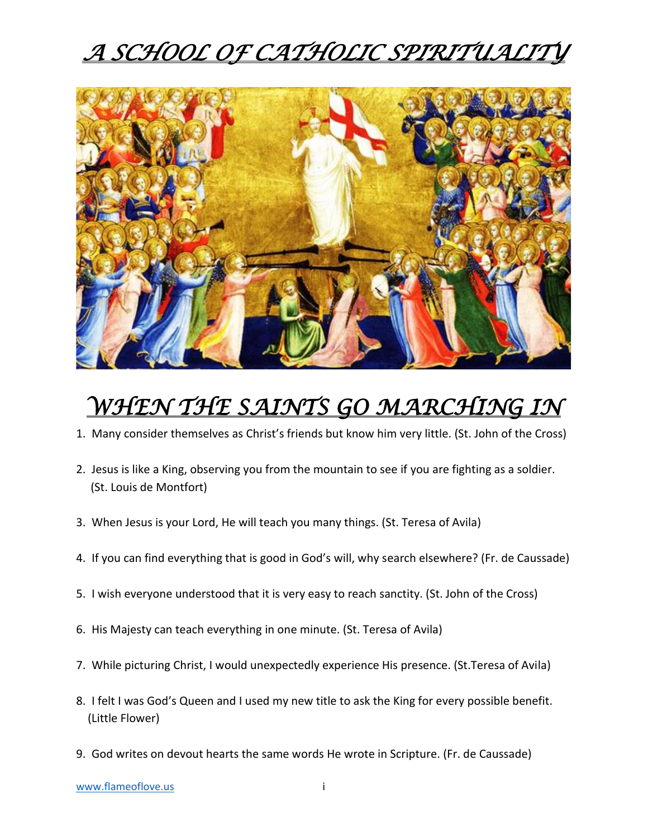# *A SCHOOL OF CATHOLIC SPIRITUALITY*



# *WHEN THE SAINTS GO MARCHING IN*

- 1. Many consider themselves as Christ's friends but know him very little. (St. John of the Cross)
- 2. Jesus is like a King, observing you from the mountain to see if you are fighting as a soldier. (St. Louis de Montfort)
- 3. When Jesus is your Lord, He will teach you many things. (St. Teresa of Avila)
- 4. If you can find everything that is good in God's will, why search elsewhere? (Fr. de Caussade)
- 5. I wish everyone understood that it is very easy to reach sanctity. (St. John of the Cross)
- 6. His Majesty can teach everything in one minute. (St. Teresa of Avila)
- 7. While picturing Christ, I would unexpectedly experience His presence. (St.Teresa of Avila)
- 8. I felt I was God's Queen and I used my new title to ask the King for every possible benefit. (Little Flower)
- 9. God writes on devout hearts the same words He wrote in Scripture. (Fr. de Caussade)

[www.flameoflove.us](http://www.flameoflove.us/) in the state of the state of the state of the state of the state of the state of the state of the state of the state of the state of the state of the state of the state of the state of the state of the s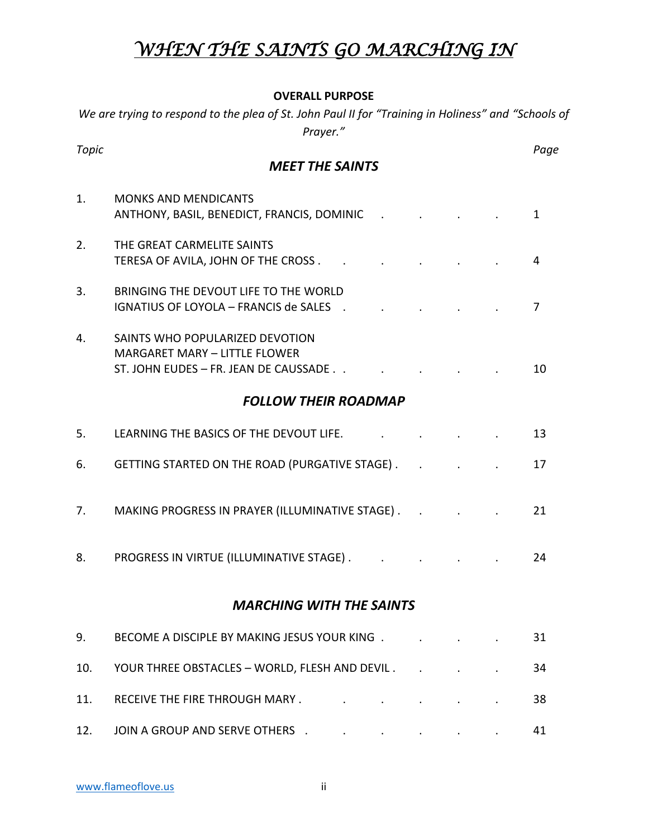## *WHEN THE SAINTS GO MARCHING IN*

#### **OVERALL PURPOSE**

| We are trying to respond to the plea of St. John Paul II for "Training in Holiness" and "Schools of<br>Prayer." |                                                                                                                  |  |  |  |      |
|-----------------------------------------------------------------------------------------------------------------|------------------------------------------------------------------------------------------------------------------|--|--|--|------|
| <b>Topic</b>                                                                                                    | <b>MEET THE SAINTS</b>                                                                                           |  |  |  | Page |
| 1.                                                                                                              | <b>MONKS AND MENDICANTS</b><br>ANTHONY, BASIL, BENEDICT, FRANCIS, DOMINIC<br><b>Contract Contract</b>            |  |  |  | 1    |
| 2.                                                                                                              | THE GREAT CARMELITE SAINTS<br>TERESA OF AVILA, JOHN OF THE CROSS                                                 |  |  |  | 4    |
| 3.                                                                                                              | BRINGING THE DEVOUT LIFE TO THE WORLD<br><b>IGNATIUS OF LOYOLA - FRANCIS de SALES</b><br>$\sim$ $\sim$           |  |  |  | 7    |
| 4.                                                                                                              | SAINTS WHO POPULARIZED DEVOTION<br><b>MARGARET MARY - LITTLE FLOWER</b><br>ST. JOHN EUDES - FR. JEAN DE CAUSSADE |  |  |  | 10   |
| <b>FOLLOW THEIR ROADMAP</b>                                                                                     |                                                                                                                  |  |  |  |      |
| 5.                                                                                                              | LEARNING THE BASICS OF THE DEVOUT LIFE.                                                                          |  |  |  | 13   |
| 6.                                                                                                              | GETTING STARTED ON THE ROAD (PURGATIVE STAGE).                                                                   |  |  |  | 17   |
| 7.                                                                                                              | MAKING PROGRESS IN PRAYER (ILLUMINATIVE STAGE).                                                                  |  |  |  | 21   |
| 8.                                                                                                              | PROGRESS IN VIRTUE (ILLUMINATIVE STAGE).                                                                         |  |  |  | 24   |
| <b>MARCHING WITH THE SAINTS</b>                                                                                 |                                                                                                                  |  |  |  |      |
| 9.                                                                                                              | BECOME A DISCIPLE BY MAKING JESUS YOUR KING .                                                                    |  |  |  | 31   |
| 10.                                                                                                             | YOUR THREE OBSTACLES - WORLD, FLESH AND DEVIL.                                                                   |  |  |  | 34   |
| 11.                                                                                                             | RECEIVE THE FIRE THROUGH MARY.                                                                                   |  |  |  | 38   |
| 12.                                                                                                             | JOIN A GROUP AND SERVE OTHERS .                                                                                  |  |  |  | 41   |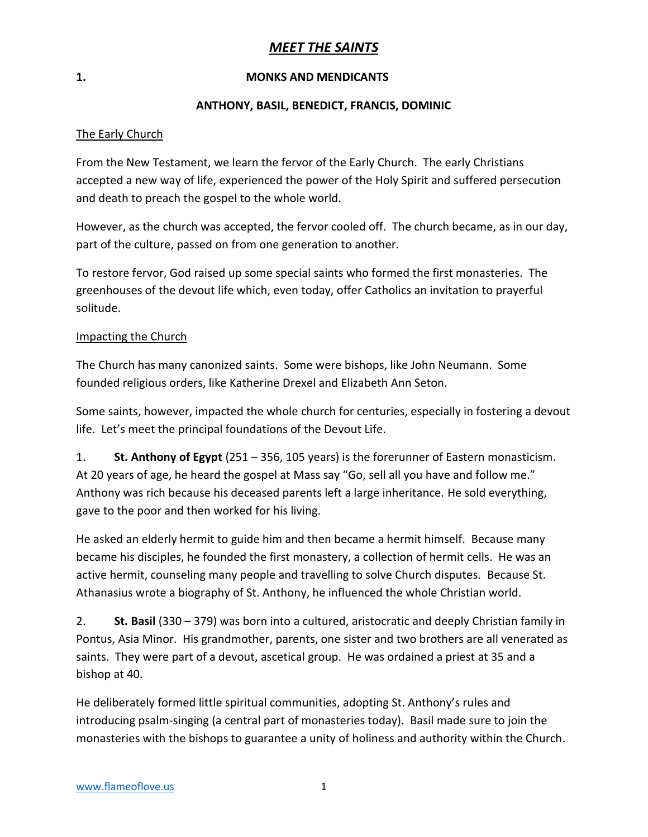### *MEET THE SAINTS*

#### **1. MONKS AND MENDICANTS**

#### **ANTHONY, BASIL, BENEDICT, FRANCIS, DOMINIC**

#### The Early Church

From the New Testament, we learn the fervor of the Early Church. The early Christians accepted a new way of life, experienced the power of the Holy Spirit and suffered persecution and death to preach the gospel to the whole world.

However, as the church was accepted, the fervor cooled off. The church became, as in our day, part of the culture, passed on from one generation to another.

To restore fervor, God raised up some special saints who formed the first monasteries. The greenhouses of the devout life which, even today, offer Catholics an invitation to prayerful solitude.

#### Impacting the Church

The Church has many canonized saints. Some were bishops, like John Neumann. Some founded religious orders, like Katherine Drexel and Elizabeth Ann Seton.

Some saints, however, impacted the whole church for centuries, especially in fostering a devout life. Let's meet the principal foundations of the Devout Life.

1. **St. Anthony of Egypt** (251 – 356, 105 years) is the forerunner of Eastern monasticism. At 20 years of age, he heard the gospel at Mass say "Go, sell all you have and follow me." Anthony was rich because his deceased parents left a large inheritance. He sold everything, gave to the poor and then worked for his living.

He asked an elderly hermit to guide him and then became a hermit himself. Because many became his disciples, he founded the first monastery, a collection of hermit cells. He was an active hermit, counseling many people and travelling to solve Church disputes. Because St. Athanasius wrote a biography of St. Anthony, he influenced the whole Christian world.

2. **St. Basil** (330 – 379) was born into a cultured, aristocratic and deeply Christian family in Pontus, Asia Minor. His grandmother, parents, one sister and two brothers are all venerated as saints. They were part of a devout, ascetical group. He was ordained a priest at 35 and a bishop at 40.

He deliberately formed little spiritual communities, adopting St. Anthony's rules and introducing psalm-singing (a central part of monasteries today). Basil made sure to join the monasteries with the bishops to guarantee a unity of holiness and authority within the Church.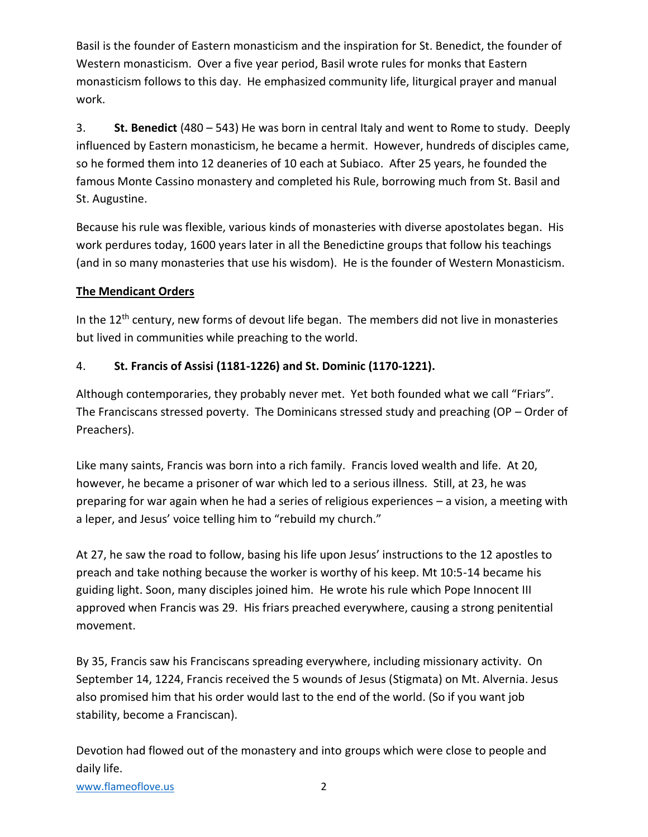Basil is the founder of Eastern monasticism and the inspiration for St. Benedict, the founder of Western monasticism. Over a five year period, Basil wrote rules for monks that Eastern monasticism follows to this day. He emphasized community life, liturgical prayer and manual work.

3. **St. Benedict** (480 – 543) He was born in central Italy and went to Rome to study. Deeply influenced by Eastern monasticism, he became a hermit. However, hundreds of disciples came, so he formed them into 12 deaneries of 10 each at Subiaco. After 25 years, he founded the famous Monte Cassino monastery and completed his Rule, borrowing much from St. Basil and St. Augustine.

Because his rule was flexible, various kinds of monasteries with diverse apostolates began. His work perdures today, 1600 years later in all the Benedictine groups that follow his teachings (and in so many monasteries that use his wisdom). He is the founder of Western Monasticism.

### **The Mendicant Orders**

In the 12<sup>th</sup> century, new forms of devout life began. The members did not live in monasteries but lived in communities while preaching to the world.

### 4. **St. Francis of Assisi (1181-1226) and St. Dominic (1170-1221).**

Although contemporaries, they probably never met. Yet both founded what we call "Friars". The Franciscans stressed poverty. The Dominicans stressed study and preaching (OP – Order of Preachers).

Like many saints, Francis was born into a rich family. Francis loved wealth and life. At 20, however, he became a prisoner of war which led to a serious illness. Still, at 23, he was preparing for war again when he had a series of religious experiences – a vision, a meeting with a leper, and Jesus' voice telling him to "rebuild my church."

At 27, he saw the road to follow, basing his life upon Jesus' instructions to the 12 apostles to preach and take nothing because the worker is worthy of his keep. Mt 10:5-14 became his guiding light. Soon, many disciples joined him. He wrote his rule which Pope Innocent III approved when Francis was 29. His friars preached everywhere, causing a strong penitential movement.

By 35, Francis saw his Franciscans spreading everywhere, including missionary activity. On September 14, 1224, Francis received the 5 wounds of Jesus (Stigmata) on Mt. Alvernia. Jesus also promised him that his order would last to the end of the world. (So if you want job stability, become a Franciscan).

Devotion had flowed out of the monastery and into groups which were close to people and daily life.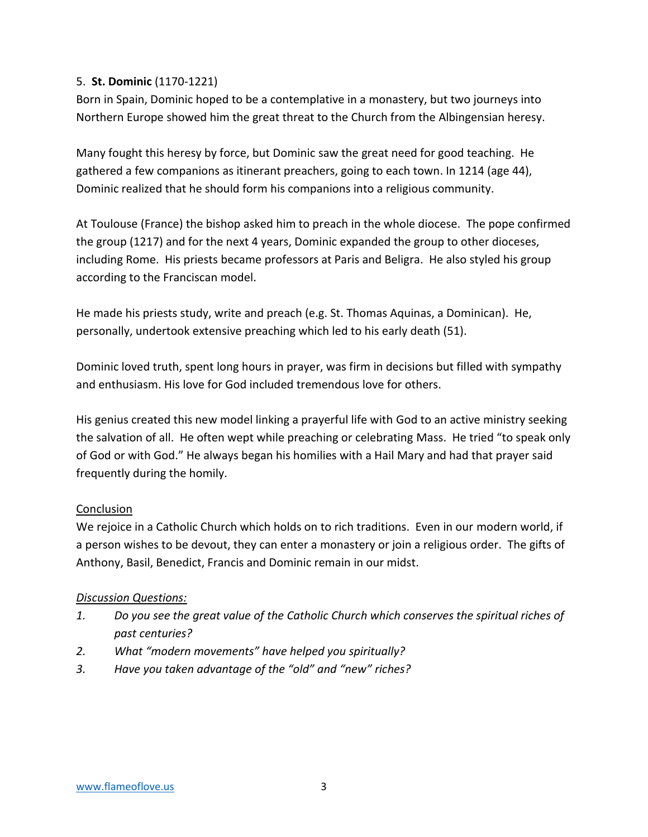### 5. **St. Dominic** (1170-1221)

Born in Spain, Dominic hoped to be a contemplative in a monastery, but two journeys into Northern Europe showed him the great threat to the Church from the Albingensian heresy.

Many fought this heresy by force, but Dominic saw the great need for good teaching. He gathered a few companions as itinerant preachers, going to each town. In 1214 (age 44), Dominic realized that he should form his companions into a religious community.

At Toulouse (France) the bishop asked him to preach in the whole diocese. The pope confirmed the group (1217) and for the next 4 years, Dominic expanded the group to other dioceses, including Rome. His priests became professors at Paris and Beligra. He also styled his group according to the Franciscan model.

He made his priests study, write and preach (e.g. St. Thomas Aquinas, a Dominican). He, personally, undertook extensive preaching which led to his early death (51).

Dominic loved truth, spent long hours in prayer, was firm in decisions but filled with sympathy and enthusiasm. His love for God included tremendous love for others.

His genius created this new model linking a prayerful life with God to an active ministry seeking the salvation of all. He often wept while preaching or celebrating Mass. He tried "to speak only of God or with God." He always began his homilies with a Hail Mary and had that prayer said frequently during the homily.

### Conclusion

We rejoice in a Catholic Church which holds on to rich traditions. Even in our modern world, if a person wishes to be devout, they can enter a monastery or join a religious order. The gifts of Anthony, Basil, Benedict, Francis and Dominic remain in our midst.

### *Discussion Questions:*

- *1. Do you see the great value of the Catholic Church which conserves the spiritual riches of past centuries?*
- *2. What "modern movements" have helped you spiritually?*
- *3. Have you taken advantage of the "old" and "new" riches?*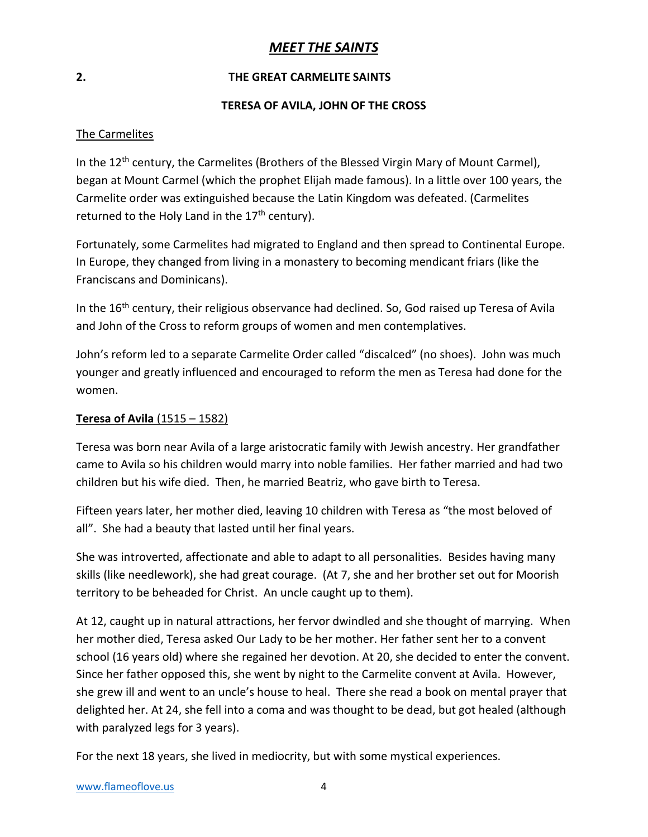### *MEET THE SAINTS*

#### **2. THE GREAT CARMELITE SAINTS**

#### **TERESA OF AVILA, JOHN OF THE CROSS**

### The Carmelites

In the 12<sup>th</sup> century, the Carmelites (Brothers of the Blessed Virgin Mary of Mount Carmel), began at Mount Carmel (which the prophet Elijah made famous). In a little over 100 years, the Carmelite order was extinguished because the Latin Kingdom was defeated. (Carmelites returned to the Holy Land in the  $17<sup>th</sup>$  century).

Fortunately, some Carmelites had migrated to England and then spread to Continental Europe. In Europe, they changed from living in a monastery to becoming mendicant friars (like the Franciscans and Dominicans).

In the 16<sup>th</sup> century, their religious observance had declined. So, God raised up Teresa of Avila and John of the Cross to reform groups of women and men contemplatives.

John's reform led to a separate Carmelite Order called "discalced" (no shoes). John was much younger and greatly influenced and encouraged to reform the men as Teresa had done for the women.

#### **Teresa of Avila** (1515 – 1582)

Teresa was born near Avila of a large aristocratic family with Jewish ancestry. Her grandfather came to Avila so his children would marry into noble families. Her father married and had two children but his wife died. Then, he married Beatriz, who gave birth to Teresa.

Fifteen years later, her mother died, leaving 10 children with Teresa as "the most beloved of all". She had a beauty that lasted until her final years.

She was introverted, affectionate and able to adapt to all personalities. Besides having many skills (like needlework), she had great courage. (At 7, she and her brother set out for Moorish territory to be beheaded for Christ. An uncle caught up to them).

At 12, caught up in natural attractions, her fervor dwindled and she thought of marrying. When her mother died, Teresa asked Our Lady to be her mother. Her father sent her to a convent school (16 years old) where she regained her devotion. At 20, she decided to enter the convent. Since her father opposed this, she went by night to the Carmelite convent at Avila. However, she grew ill and went to an uncle's house to heal. There she read a book on mental prayer that delighted her. At 24, she fell into a coma and was thought to be dead, but got healed (although with paralyzed legs for 3 years).

For the next 18 years, she lived in mediocrity, but with some mystical experiences.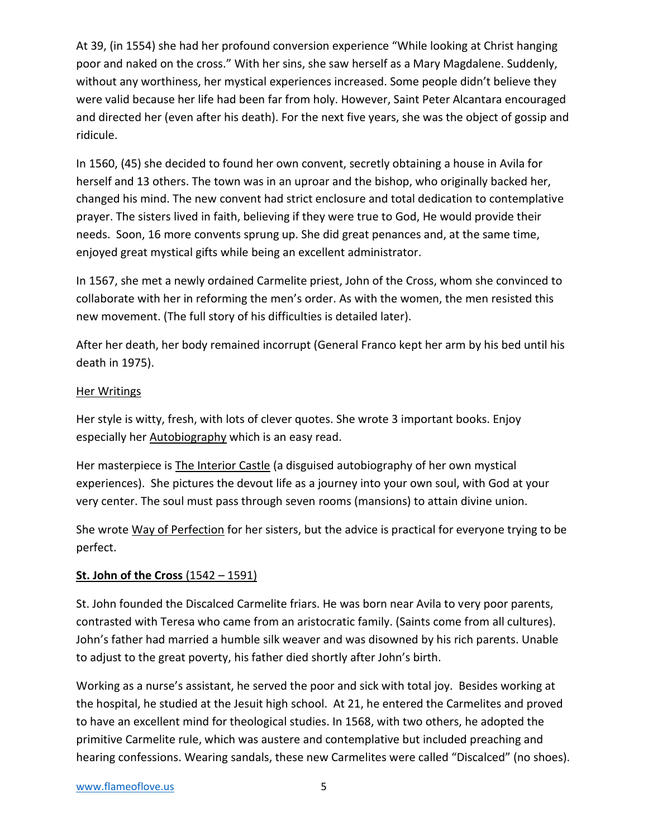At 39, (in 1554) she had her profound conversion experience "While looking at Christ hanging poor and naked on the cross." With her sins, she saw herself as a Mary Magdalene. Suddenly, without any worthiness, her mystical experiences increased. Some people didn't believe they were valid because her life had been far from holy. However, Saint Peter Alcantara encouraged and directed her (even after his death). For the next five years, she was the object of gossip and ridicule.

In 1560, (45) she decided to found her own convent, secretly obtaining a house in Avila for herself and 13 others. The town was in an uproar and the bishop, who originally backed her, changed his mind. The new convent had strict enclosure and total dedication to contemplative prayer. The sisters lived in faith, believing if they were true to God, He would provide their needs. Soon, 16 more convents sprung up. She did great penances and, at the same time, enjoyed great mystical gifts while being an excellent administrator.

In 1567, she met a newly ordained Carmelite priest, John of the Cross, whom she convinced to collaborate with her in reforming the men's order. As with the women, the men resisted this new movement. (The full story of his difficulties is detailed later).

After her death, her body remained incorrupt (General Franco kept her arm by his bed until his death in 1975).

### Her Writings

Her style is witty, fresh, with lots of clever quotes. She wrote 3 important books. Enjoy especially her Autobiography which is an easy read.

Her masterpiece is The Interior Castle (a disguised autobiography of her own mystical experiences). She pictures the devout life as a journey into your own soul, with God at your very center. The soul must pass through seven rooms (mansions) to attain divine union.

She wrote Way of Perfection for her sisters, but the advice is practical for everyone trying to be perfect.

### **St. John of the Cross** (1542 – 1591)

St. John founded the Discalced Carmelite friars. He was born near Avila to very poor parents, contrasted with Teresa who came from an aristocratic family. (Saints come from all cultures). John's father had married a humble silk weaver and was disowned by his rich parents. Unable to adjust to the great poverty, his father died shortly after John's birth.

Working as a nurse's assistant, he served the poor and sick with total joy. Besides working at the hospital, he studied at the Jesuit high school. At 21, he entered the Carmelites and proved to have an excellent mind for theological studies. In 1568, with two others, he adopted the primitive Carmelite rule, which was austere and contemplative but included preaching and hearing confessions. Wearing sandals, these new Carmelites were called "Discalced" (no shoes).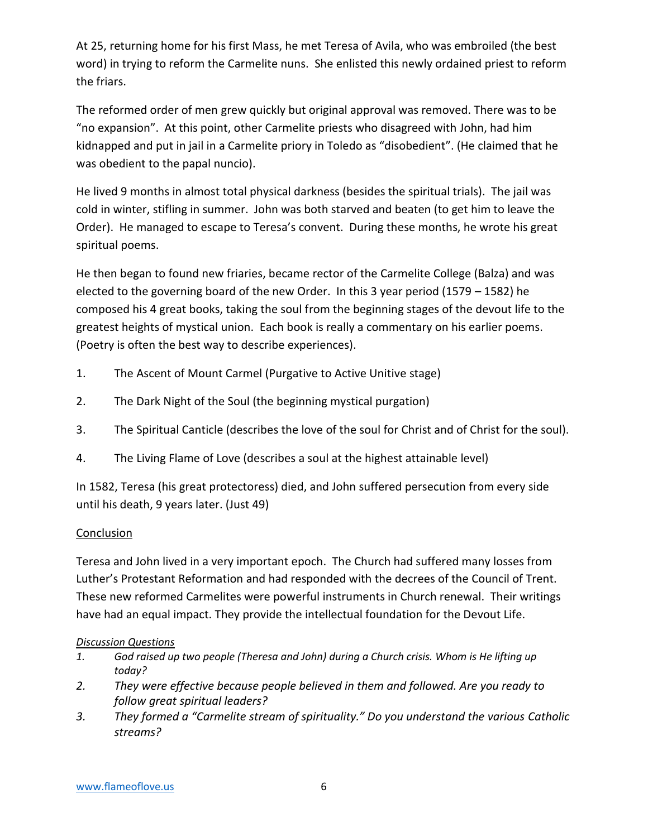At 25, returning home for his first Mass, he met Teresa of Avila, who was embroiled (the best word) in trying to reform the Carmelite nuns. She enlisted this newly ordained priest to reform the friars.

The reformed order of men grew quickly but original approval was removed. There was to be "no expansion". At this point, other Carmelite priests who disagreed with John, had him kidnapped and put in jail in a Carmelite priory in Toledo as "disobedient". (He claimed that he was obedient to the papal nuncio).

He lived 9 months in almost total physical darkness (besides the spiritual trials). The jail was cold in winter, stifling in summer. John was both starved and beaten (to get him to leave the Order). He managed to escape to Teresa's convent. During these months, he wrote his great spiritual poems.

He then began to found new friaries, became rector of the Carmelite College (Balza) and was elected to the governing board of the new Order. In this 3 year period (1579 – 1582) he composed his 4 great books, taking the soul from the beginning stages of the devout life to the greatest heights of mystical union. Each book is really a commentary on his earlier poems. (Poetry is often the best way to describe experiences).

- 1. The Ascent of Mount Carmel (Purgative to Active Unitive stage)
- 2. The Dark Night of the Soul (the beginning mystical purgation)
- 3. The Spiritual Canticle (describes the love of the soul for Christ and of Christ for the soul).
- 4. The Living Flame of Love (describes a soul at the highest attainable level)

In 1582, Teresa (his great protectoress) died, and John suffered persecution from every side until his death, 9 years later. (Just 49)

### Conclusion

Teresa and John lived in a very important epoch. The Church had suffered many losses from Luther's Protestant Reformation and had responded with the decrees of the Council of Trent. These new reformed Carmelites were powerful instruments in Church renewal. Their writings have had an equal impact. They provide the intellectual foundation for the Devout Life.

### *Discussion Questions*

- *1. God raised up two people (Theresa and John) during a Church crisis. Whom is He lifting up today?*
- *2. They were effective because people believed in them and followed. Are you ready to follow great spiritual leaders?*
- 3. They formed a "Carmelite stream of spirituality." Do you understand the various Catholic *streams?*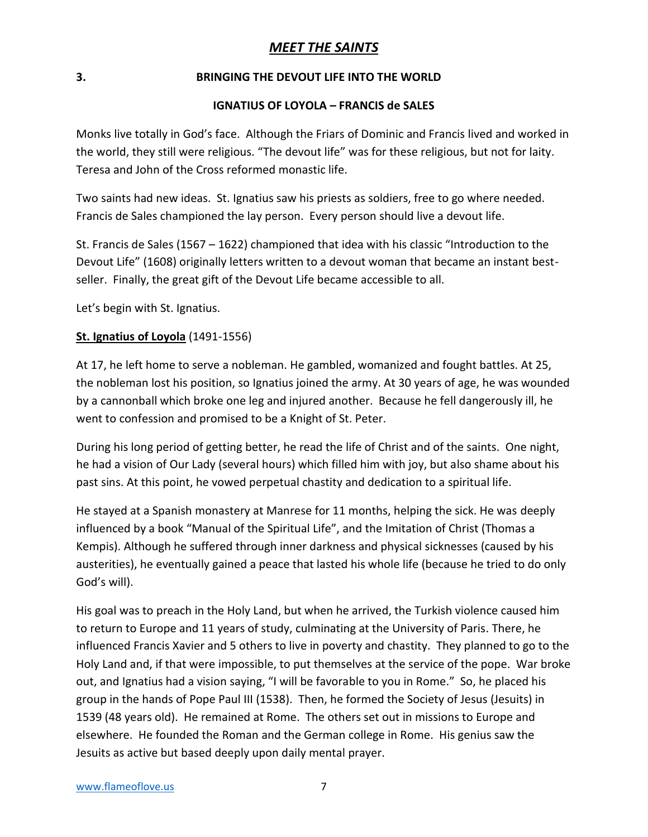### *MEET THE SAINTS*

### **3. BRINGING THE DEVOUT LIFE INTO THE WORLD**

### **IGNATIUS OF LOYOLA – FRANCIS de SALES**

Monks live totally in God's face. Although the Friars of Dominic and Francis lived and worked in the world, they still were religious. "The devout life" was for these religious, but not for laity. Teresa and John of the Cross reformed monastic life.

Two saints had new ideas. St. Ignatius saw his priests as soldiers, free to go where needed. Francis de Sales championed the lay person. Every person should live a devout life.

St. Francis de Sales (1567 – 1622) championed that idea with his classic "Introduction to the Devout Life" (1608) originally letters written to a devout woman that became an instant bestseller. Finally, the great gift of the Devout Life became accessible to all.

Let's begin with St. Ignatius.

### **St. Ignatius of Loyola** (1491-1556)

At 17, he left home to serve a nobleman. He gambled, womanized and fought battles. At 25, the nobleman lost his position, so Ignatius joined the army. At 30 years of age, he was wounded by a cannonball which broke one leg and injured another. Because he fell dangerously ill, he went to confession and promised to be a Knight of St. Peter.

During his long period of getting better, he read the life of Christ and of the saints. One night, he had a vision of Our Lady (several hours) which filled him with joy, but also shame about his past sins. At this point, he vowed perpetual chastity and dedication to a spiritual life.

He stayed at a Spanish monastery at Manrese for 11 months, helping the sick. He was deeply influenced by a book "Manual of the Spiritual Life", and the Imitation of Christ (Thomas a Kempis). Although he suffered through inner darkness and physical sicknesses (caused by his austerities), he eventually gained a peace that lasted his whole life (because he tried to do only God's will).

His goal was to preach in the Holy Land, but when he arrived, the Turkish violence caused him to return to Europe and 11 years of study, culminating at the University of Paris. There, he influenced Francis Xavier and 5 others to live in poverty and chastity. They planned to go to the Holy Land and, if that were impossible, to put themselves at the service of the pope. War broke out, and Ignatius had a vision saying, "I will be favorable to you in Rome." So, he placed his group in the hands of Pope Paul III (1538). Then, he formed the Society of Jesus (Jesuits) in 1539 (48 years old). He remained at Rome. The others set out in missions to Europe and elsewhere. He founded the Roman and the German college in Rome. His genius saw the Jesuits as active but based deeply upon daily mental prayer.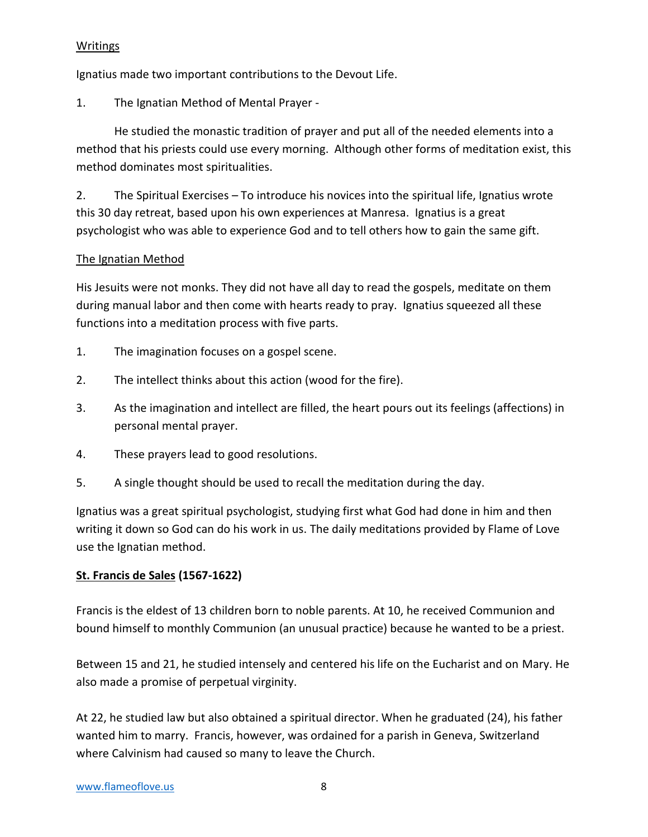### Writings

Ignatius made two important contributions to the Devout Life.

1. The Ignatian Method of Mental Prayer -

He studied the monastic tradition of prayer and put all of the needed elements into a method that his priests could use every morning. Although other forms of meditation exist, this method dominates most spiritualities.

2. The Spiritual Exercises – To introduce his novices into the spiritual life, Ignatius wrote this 30 day retreat, based upon his own experiences at Manresa. Ignatius is a great psychologist who was able to experience God and to tell others how to gain the same gift.

### The Ignatian Method

His Jesuits were not monks. They did not have all day to read the gospels, meditate on them during manual labor and then come with hearts ready to pray. Ignatius squeezed all these functions into a meditation process with five parts.

- 1. The imagination focuses on a gospel scene.
- 2. The intellect thinks about this action (wood for the fire).
- 3. As the imagination and intellect are filled, the heart pours out its feelings (affections) in personal mental prayer.
- 4. These prayers lead to good resolutions.
- 5. A single thought should be used to recall the meditation during the day.

Ignatius was a great spiritual psychologist, studying first what God had done in him and then writing it down so God can do his work in us. The daily meditations provided by Flame of Love use the Ignatian method.

### **St. Francis de Sales (1567-1622)**

Francis is the eldest of 13 children born to noble parents. At 10, he received Communion and bound himself to monthly Communion (an unusual practice) because he wanted to be a priest.

Between 15 and 21, he studied intensely and centered his life on the Eucharist and on Mary. He also made a promise of perpetual virginity.

At 22, he studied law but also obtained a spiritual director. When he graduated (24), his father wanted him to marry. Francis, however, was ordained for a parish in Geneva, Switzerland where Calvinism had caused so many to leave the Church.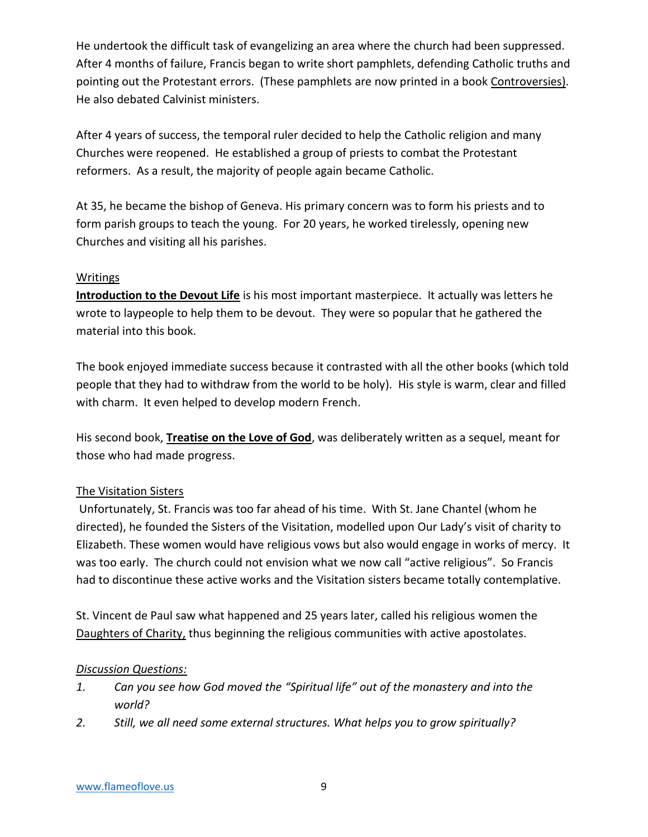He undertook the difficult task of evangelizing an area where the church had been suppressed. After 4 months of failure, Francis began to write short pamphlets, defending Catholic truths and pointing out the Protestant errors. (These pamphlets are now printed in a book Controversies). He also debated Calvinist ministers.

After 4 years of success, the temporal ruler decided to help the Catholic religion and many Churches were reopened. He established a group of priests to combat the Protestant reformers. As a result, the majority of people again became Catholic.

At 35, he became the bishop of Geneva. His primary concern was to form his priests and to form parish groups to teach the young. For 20 years, he worked tirelessly, opening new Churches and visiting all his parishes.

### Writings

**Introduction to the Devout Life** is his most important masterpiece. It actually was letters he wrote to laypeople to help them to be devout. They were so popular that he gathered the material into this book.

The book enjoyed immediate success because it contrasted with all the other books (which told people that they had to withdraw from the world to be holy). His style is warm, clear and filled with charm. It even helped to develop modern French.

His second book, **Treatise on the Love of God**, was deliberately written as a sequel, meant for those who had made progress.

### The Visitation Sisters

Unfortunately, St. Francis was too far ahead of his time. With St. Jane Chantel (whom he directed), he founded the Sisters of the Visitation, modelled upon Our Lady's visit of charity to Elizabeth. These women would have religious vows but also would engage in works of mercy. It was too early. The church could not envision what we now call "active religious". So Francis had to discontinue these active works and the Visitation sisters became totally contemplative.

St. Vincent de Paul saw what happened and 25 years later, called his religious women the Daughters of Charity, thus beginning the religious communities with active apostolates.

#### *Discussion Questions:*

- *1. Can you see how God moved the "Spiritual life" out of the monastery and into the world?*
- *2. Still, we all need some external structures. What helps you to grow spiritually?*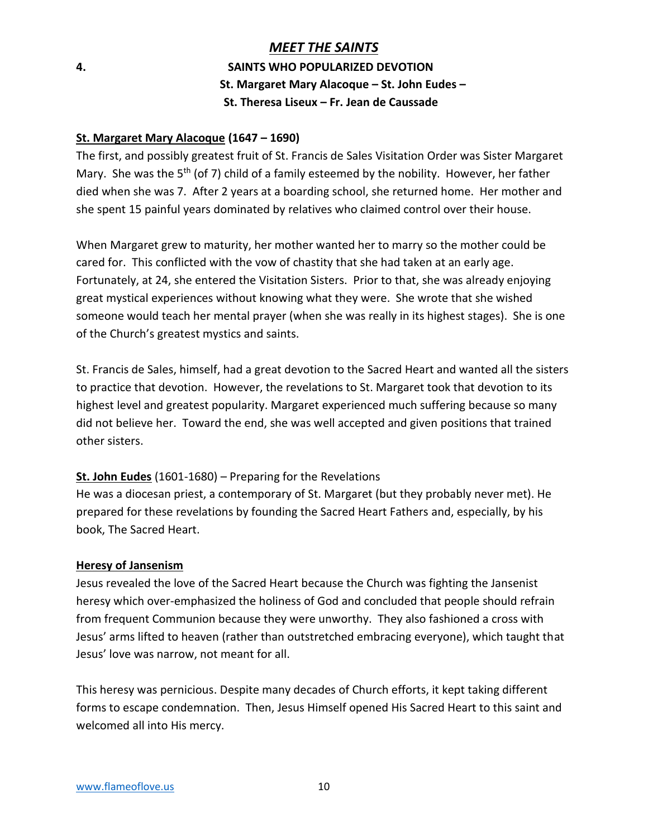### *MEET THE SAINTS* **4. SAINTS WHO POPULARIZED DEVOTION St. Margaret Mary Alacoque – St. John Eudes – St. Theresa Liseux – Fr. Jean de Caussade**

#### **St. Margaret Mary Alacoque (1647 – 1690)**

The first, and possibly greatest fruit of St. Francis de Sales Visitation Order was Sister Margaret Mary. She was the 5<sup>th</sup> (of 7) child of a family esteemed by the nobility. However, her father died when she was 7. After 2 years at a boarding school, she returned home. Her mother and she spent 15 painful years dominated by relatives who claimed control over their house.

When Margaret grew to maturity, her mother wanted her to marry so the mother could be cared for. This conflicted with the vow of chastity that she had taken at an early age. Fortunately, at 24, she entered the Visitation Sisters. Prior to that, she was already enjoying great mystical experiences without knowing what they were. She wrote that she wished someone would teach her mental prayer (when she was really in its highest stages). She is one of the Church's greatest mystics and saints.

St. Francis de Sales, himself, had a great devotion to the Sacred Heart and wanted all the sisters to practice that devotion. However, the revelations to St. Margaret took that devotion to its highest level and greatest popularity. Margaret experienced much suffering because so many did not believe her. Toward the end, she was well accepted and given positions that trained other sisters.

### **St. John Eudes** (1601-1680) – Preparing for the Revelations

He was a diocesan priest, a contemporary of St. Margaret (but they probably never met). He prepared for these revelations by founding the Sacred Heart Fathers and, especially, by his book, The Sacred Heart.

#### **Heresy of Jansenism**

Jesus revealed the love of the Sacred Heart because the Church was fighting the Jansenist heresy which over-emphasized the holiness of God and concluded that people should refrain from frequent Communion because they were unworthy. They also fashioned a cross with Jesus' arms lifted to heaven (rather than outstretched embracing everyone), which taught that Jesus' love was narrow, not meant for all.

This heresy was pernicious. Despite many decades of Church efforts, it kept taking different forms to escape condemnation. Then, Jesus Himself opened His Sacred Heart to this saint and welcomed all into His mercy.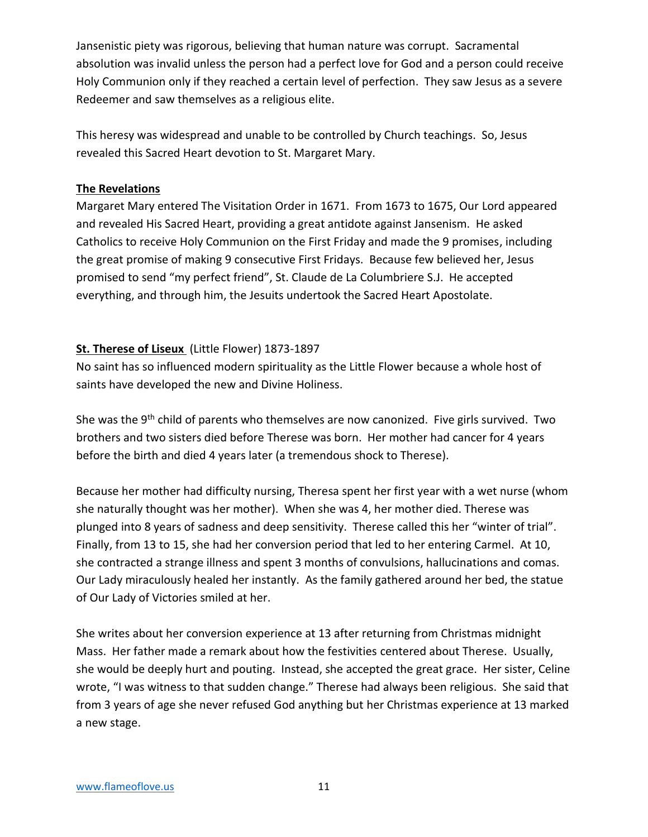Jansenistic piety was rigorous, believing that human nature was corrupt. Sacramental absolution was invalid unless the person had a perfect love for God and a person could receive Holy Communion only if they reached a certain level of perfection. They saw Jesus as a severe Redeemer and saw themselves as a religious elite.

This heresy was widespread and unable to be controlled by Church teachings. So, Jesus revealed this Sacred Heart devotion to St. Margaret Mary.

### **The Revelations**

Margaret Mary entered The Visitation Order in 1671. From 1673 to 1675, Our Lord appeared and revealed His Sacred Heart, providing a great antidote against Jansenism. He asked Catholics to receive Holy Communion on the First Friday and made the 9 promises, including the great promise of making 9 consecutive First Fridays. Because few believed her, Jesus promised to send "my perfect friend", St. Claude de La Columbriere S.J. He accepted everything, and through him, the Jesuits undertook the Sacred Heart Apostolate.

### **St. Therese of Liseux** (Little Flower) 1873-1897

No saint has so influenced modern spirituality as the Little Flower because a whole host of saints have developed the new and Divine Holiness.

She was the 9<sup>th</sup> child of parents who themselves are now canonized. Five girls survived. Two brothers and two sisters died before Therese was born. Her mother had cancer for 4 years before the birth and died 4 years later (a tremendous shock to Therese).

Because her mother had difficulty nursing, Theresa spent her first year with a wet nurse (whom she naturally thought was her mother). When she was 4, her mother died. Therese was plunged into 8 years of sadness and deep sensitivity. Therese called this her "winter of trial". Finally, from 13 to 15, she had her conversion period that led to her entering Carmel. At 10, she contracted a strange illness and spent 3 months of convulsions, hallucinations and comas. Our Lady miraculously healed her instantly. As the family gathered around her bed, the statue of Our Lady of Victories smiled at her.

She writes about her conversion experience at 13 after returning from Christmas midnight Mass. Her father made a remark about how the festivities centered about Therese. Usually, she would be deeply hurt and pouting. Instead, she accepted the great grace. Her sister, Celine wrote, "I was witness to that sudden change." Therese had always been religious. She said that from 3 years of age she never refused God anything but her Christmas experience at 13 marked a new stage.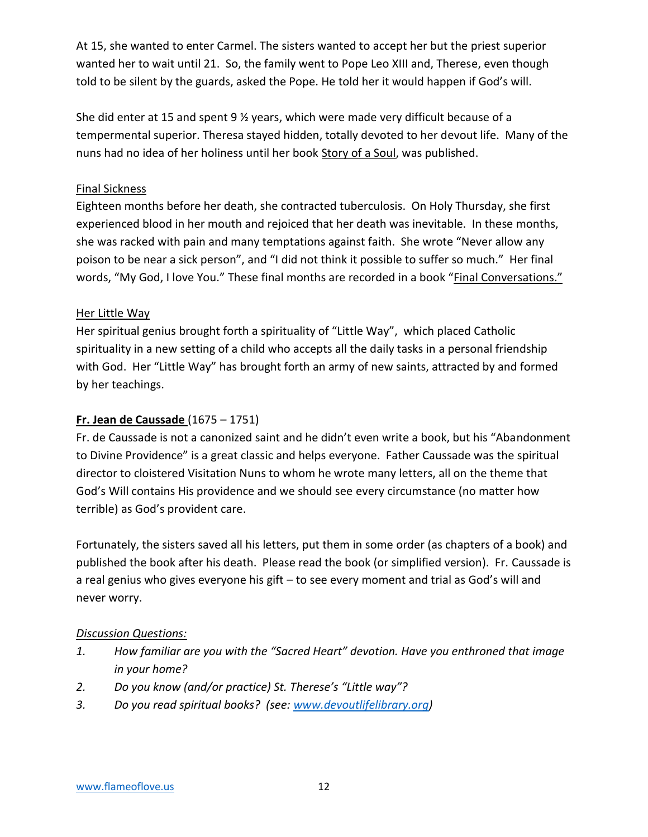At 15, she wanted to enter Carmel. The sisters wanted to accept her but the priest superior wanted her to wait until 21. So, the family went to Pope Leo XIII and, Therese, even though told to be silent by the guards, asked the Pope. He told her it would happen if God's will.

She did enter at 15 and spent 9  $\frac{1}{2}$  years, which were made very difficult because of a tempermental superior. Theresa stayed hidden, totally devoted to her devout life. Many of the nuns had no idea of her holiness until her book Story of a Soul, was published.

### Final Sickness

Eighteen months before her death, she contracted tuberculosis. On Holy Thursday, she first experienced blood in her mouth and rejoiced that her death was inevitable. In these months, she was racked with pain and many temptations against faith. She wrote "Never allow any poison to be near a sick person", and "I did not think it possible to suffer so much." Her final words, "My God, I love You." These final months are recorded in a book "Final Conversations."

### Her Little Way

Her spiritual genius brought forth a spirituality of "Little Way", which placed Catholic spirituality in a new setting of a child who accepts all the daily tasks in a personal friendship with God. Her "Little Way" has brought forth an army of new saints, attracted by and formed by her teachings.

### **Fr. Jean de Caussade** (1675 – 1751)

Fr. de Caussade is not a canonized saint and he didn't even write a book, but his "Abandonment to Divine Providence" is a great classic and helps everyone. Father Caussade was the spiritual director to cloistered Visitation Nuns to whom he wrote many letters, all on the theme that God's Will contains His providence and we should see every circumstance (no matter how terrible) as God's provident care.

Fortunately, the sisters saved all his letters, put them in some order (as chapters of a book) and published the book after his death. Please read the book (or simplified version). Fr. Caussade is a real genius who gives everyone his gift – to see every moment and trial as God's will and never worry.

#### *Discussion Questions:*

- *1. How familiar are you with the "Sacred Heart" devotion. Have you enthroned that image in your home?*
- *2. Do you know (and/or practice) St. Therese's "Little way"?*
- *3. Do you read spiritual books? (see: [www.devoutlifelibrary.org\)](http://www.devoutlifelibrary.org/)*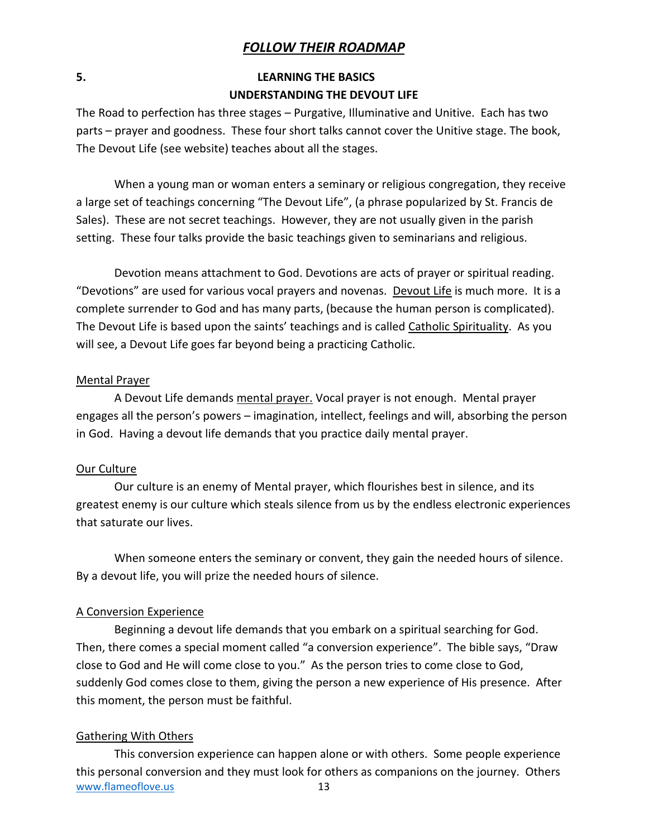### *FOLLOW THEIR ROADMAP*

### **5. LEARNING THE BASICS UNDERSTANDING THE DEVOUT LIFE**

The Road to perfection has three stages – Purgative, Illuminative and Unitive. Each has two parts – prayer and goodness. These four short talks cannot cover the Unitive stage. The book, The Devout Life (see website) teaches about all the stages.

When a young man or woman enters a seminary or religious congregation, they receive a large set of teachings concerning "The Devout Life", (a phrase popularized by St. Francis de Sales). These are not secret teachings. However, they are not usually given in the parish setting. These four talks provide the basic teachings given to seminarians and religious.

Devotion means attachment to God. Devotions are acts of prayer or spiritual reading. "Devotions" are used for various vocal prayers and novenas. Devout Life is much more. It is a complete surrender to God and has many parts, (because the human person is complicated). The Devout Life is based upon the saints' teachings and is called Catholic Spirituality. As you will see, a Devout Life goes far beyond being a practicing Catholic.

#### Mental Prayer

A Devout Life demands mental prayer. Vocal prayer is not enough. Mental prayer engages all the person's powers – imagination, intellect, feelings and will, absorbing the person in God. Having a devout life demands that you practice daily mental prayer.

#### Our Culture

Our culture is an enemy of Mental prayer, which flourishes best in silence, and its greatest enemy is our culture which steals silence from us by the endless electronic experiences that saturate our lives.

When someone enters the seminary or convent, they gain the needed hours of silence. By a devout life, you will prize the needed hours of silence.

#### A Conversion Experience

Beginning a devout life demands that you embark on a spiritual searching for God. Then, there comes a special moment called "a conversion experience". The bible says, "Draw close to God and He will come close to you." As the person tries to come close to God, suddenly God comes close to them, giving the person a new experience of His presence. After this moment, the person must be faithful.

#### Gathering With Others

[www.flameoflove.us](http://www.flameoflove.us/) 13 This conversion experience can happen alone or with others. Some people experience this personal conversion and they must look for others as companions on the journey. Others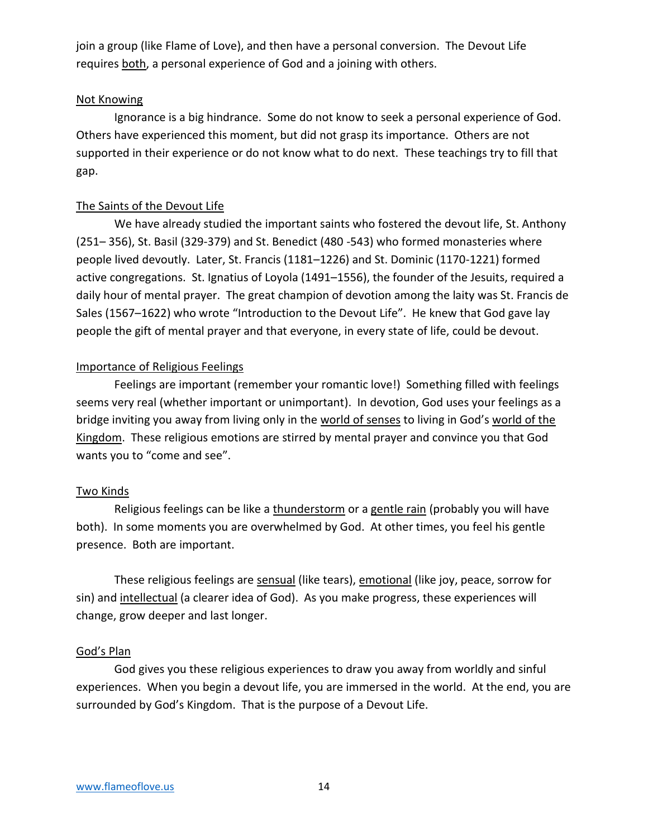join a group (like Flame of Love), and then have a personal conversion. The Devout Life requires both, a personal experience of God and a joining with others.

#### Not Knowing

Ignorance is a big hindrance. Some do not know to seek a personal experience of God. Others have experienced this moment, but did not grasp its importance. Others are not supported in their experience or do not know what to do next. These teachings try to fill that gap.

#### The Saints of the Devout Life

We have already studied the important saints who fostered the devout life, St. Anthony (251– 356), St. Basil (329-379) and St. Benedict (480 -543) who formed monasteries where people lived devoutly. Later, St. Francis (1181–1226) and St. Dominic (1170-1221) formed active congregations. St. Ignatius of Loyola (1491–1556), the founder of the Jesuits, required a daily hour of mental prayer. The great champion of devotion among the laity was St. Francis de Sales (1567–1622) who wrote "Introduction to the Devout Life". He knew that God gave lay people the gift of mental prayer and that everyone, in every state of life, could be devout.

#### Importance of Religious Feelings

Feelings are important (remember your romantic love!) Something filled with feelings seems very real (whether important or unimportant). In devotion, God uses your feelings as a bridge inviting you away from living only in the world of senses to living in God's world of the Kingdom. These religious emotions are stirred by mental prayer and convince you that God wants you to "come and see".

#### Two Kinds

Religious feelings can be like a thunderstorm or a gentle rain (probably you will have both). In some moments you are overwhelmed by God. At other times, you feel his gentle presence. Both are important.

These religious feelings are sensual (like tears), emotional (like joy, peace, sorrow for sin) and intellectual (a clearer idea of God). As you make progress, these experiences will change, grow deeper and last longer.

#### God's Plan

God gives you these religious experiences to draw you away from worldly and sinful experiences. When you begin a devout life, you are immersed in the world. At the end, you are surrounded by God's Kingdom. That is the purpose of a Devout Life.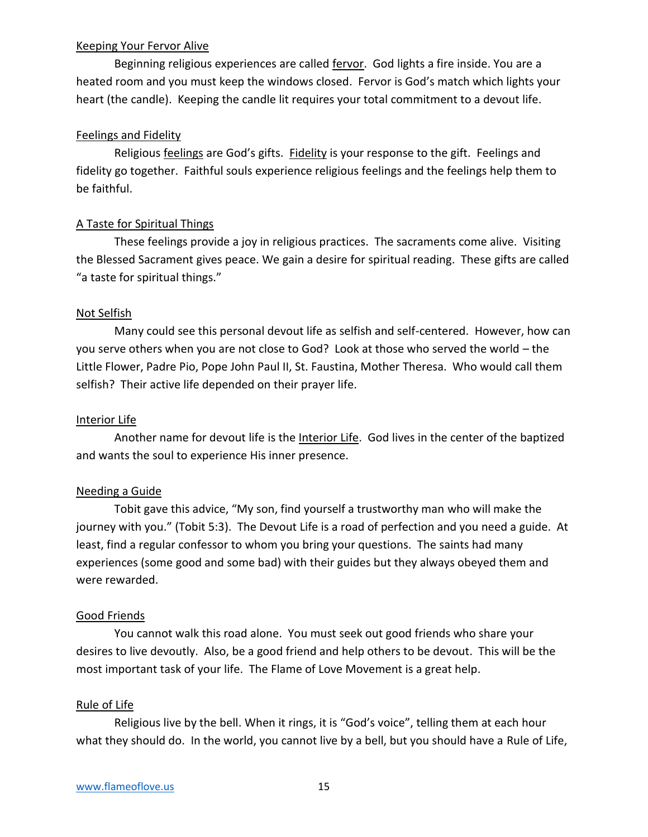#### Keeping Your Fervor Alive

Beginning religious experiences are called fervor. God lights a fire inside. You are a heated room and you must keep the windows closed. Fervor is God's match which lights your heart (the candle). Keeping the candle lit requires your total commitment to a devout life.

### Feelings and Fidelity

Religious feelings are God's gifts. Fidelity is your response to the gift. Feelings and fidelity go together. Faithful souls experience religious feelings and the feelings help them to be faithful.

### A Taste for Spiritual Things

These feelings provide a joy in religious practices. The sacraments come alive. Visiting the Blessed Sacrament gives peace. We gain a desire for spiritual reading. These gifts are called "a taste for spiritual things."

#### Not Selfish

Many could see this personal devout life as selfish and self-centered. However, how can you serve others when you are not close to God? Look at those who served the world – the Little Flower, Padre Pio, Pope John Paul II, St. Faustina, Mother Theresa. Who would call them selfish? Their active life depended on their prayer life.

#### Interior Life

Another name for devout life is the Interior Life. God lives in the center of the baptized and wants the soul to experience His inner presence.

#### Needing a Guide

Tobit gave this advice, "My son, find yourself a trustworthy man who will make the journey with you." (Tobit 5:3). The Devout Life is a road of perfection and you need a guide. At least, find a regular confessor to whom you bring your questions. The saints had many experiences (some good and some bad) with their guides but they always obeyed them and were rewarded.

#### Good Friends

You cannot walk this road alone. You must seek out good friends who share your desires to live devoutly. Also, be a good friend and help others to be devout. This will be the most important task of your life. The Flame of Love Movement is a great help.

#### Rule of Life

Religious live by the bell. When it rings, it is "God's voice", telling them at each hour what they should do. In the world, you cannot live by a bell, but you should have a Rule of Life,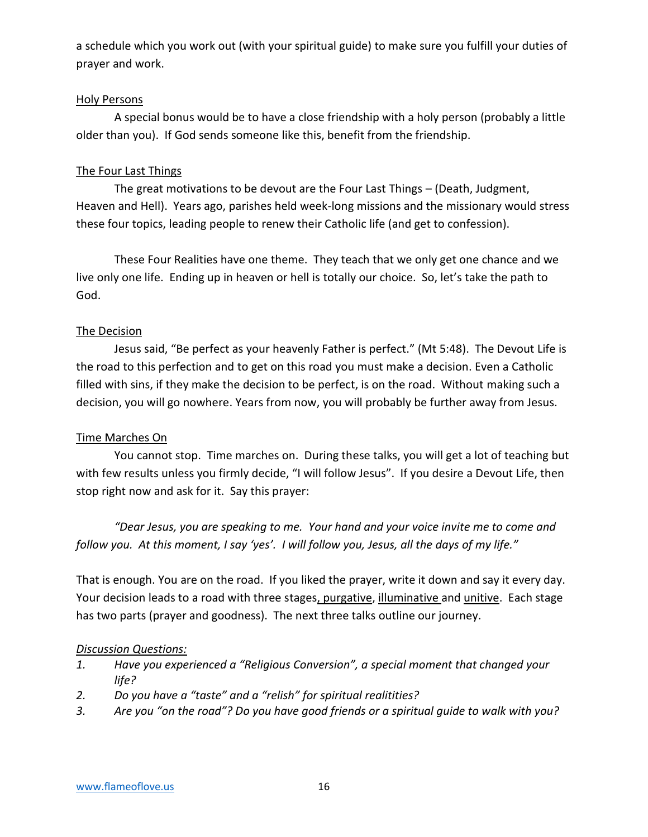a schedule which you work out (with your spiritual guide) to make sure you fulfill your duties of prayer and work.

### Holy Persons

A special bonus would be to have a close friendship with a holy person (probably a little older than you). If God sends someone like this, benefit from the friendship.

### The Four Last Things

The great motivations to be devout are the Four Last Things – (Death, Judgment, Heaven and Hell). Years ago, parishes held week-long missions and the missionary would stress these four topics, leading people to renew their Catholic life (and get to confession).

These Four Realities have one theme. They teach that we only get one chance and we live only one life. Ending up in heaven or hell is totally our choice. So, let's take the path to God.

### The Decision

Jesus said, "Be perfect as your heavenly Father is perfect." (Mt 5:48). The Devout Life is the road to this perfection and to get on this road you must make a decision. Even a Catholic filled with sins, if they make the decision to be perfect, is on the road. Without making such a decision, you will go nowhere. Years from now, you will probably be further away from Jesus.

### Time Marches On

You cannot stop. Time marches on. During these talks, you will get a lot of teaching but with few results unless you firmly decide, "I will follow Jesus". If you desire a Devout Life, then stop right now and ask for it. Say this prayer:

*"Dear Jesus, you are speaking to me. Your hand and your voice invite me to come and follow you. At this moment, I say 'yes'. I will follow you, Jesus, all the days of my life."*

That is enough. You are on the road. If you liked the prayer, write it down and say it every day. Your decision leads to a road with three stages, purgative, illuminative and unitive. Each stage has two parts (prayer and goodness). The next three talks outline our journey.

### *Discussion Questions:*

- *1. Have you experienced a "Religious Conversion", a special moment that changed your life?*
- *2. Do you have a "taste" and a "relish" for spiritual realitities?*
- *3. Are you "on the road"? Do you have good friends or a spiritual guide to walk with you?*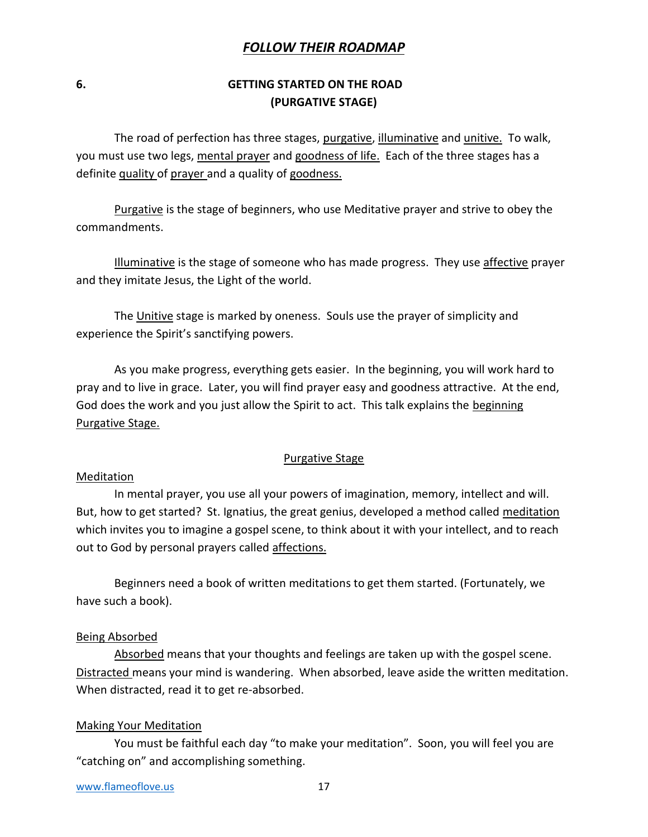### *FOLLOW THEIR ROADMAP*

### **6. GETTING STARTED ON THE ROAD (PURGATIVE STAGE)**

The road of perfection has three stages, purgative, illuminative and unitive. To walk, you must use two legs, mental prayer and goodness of life. Each of the three stages has a definite quality of prayer and a quality of goodness.

Purgative is the stage of beginners, who use Meditative prayer and strive to obey the commandments.

Illuminative is the stage of someone who has made progress. They use affective prayer and they imitate Jesus, the Light of the world.

The Unitive stage is marked by oneness. Souls use the prayer of simplicity and experience the Spirit's sanctifying powers.

As you make progress, everything gets easier. In the beginning, you will work hard to pray and to live in grace. Later, you will find prayer easy and goodness attractive. At the end, God does the work and you just allow the Spirit to act. This talk explains the beginning Purgative Stage.

#### Purgative Stage

#### Meditation

In mental prayer, you use all your powers of imagination, memory, intellect and will. But, how to get started? St. Ignatius, the great genius, developed a method called meditation which invites you to imagine a gospel scene, to think about it with your intellect, and to reach out to God by personal prayers called affections.

Beginners need a book of written meditations to get them started. (Fortunately, we have such a book).

#### Being Absorbed

Absorbed means that your thoughts and feelings are taken up with the gospel scene. Distracted means your mind is wandering. When absorbed, leave aside the written meditation. When distracted, read it to get re-absorbed.

#### Making Your Meditation

You must be faithful each day "to make your meditation". Soon, you will feel you are "catching on" and accomplishing something.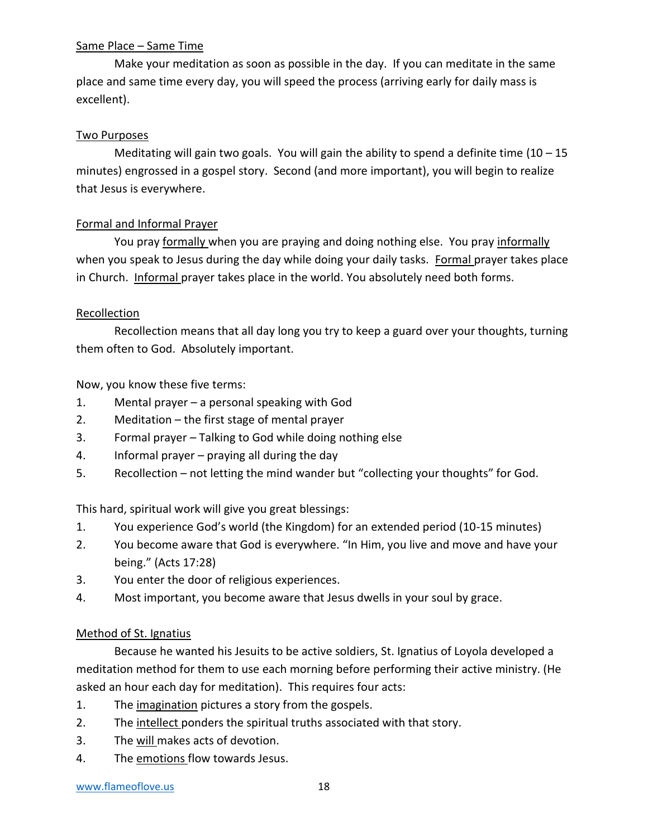### Same Place – Same Time

Make your meditation as soon as possible in the day. If you can meditate in the same place and same time every day, you will speed the process (arriving early for daily mass is excellent).

### Two Purposes

Meditating will gain two goals. You will gain the ability to spend a definite time  $(10 - 15)$ minutes) engrossed in a gospel story. Second (and more important), you will begin to realize that Jesus is everywhere.

### Formal and Informal Prayer

You pray formally when you are praying and doing nothing else. You pray informally when you speak to Jesus during the day while doing your daily tasks. Formal prayer takes place in Church. Informal prayer takes place in the world. You absolutely need both forms.

#### Recollection

Recollection means that all day long you try to keep a guard over your thoughts, turning them often to God. Absolutely important.

Now, you know these five terms:

- 1. Mental prayer a personal speaking with God
- 2. Meditation the first stage of mental prayer
- 3. Formal prayer Talking to God while doing nothing else
- 4. Informal prayer praying all during the day
- 5. Recollection not letting the mind wander but "collecting your thoughts" for God.

This hard, spiritual work will give you great blessings:

- 1. You experience God's world (the Kingdom) for an extended period (10-15 minutes)
- 2. You become aware that God is everywhere. "In Him, you live and move and have your being." (Acts 17:28)
- 3. You enter the door of religious experiences.
- 4. Most important, you become aware that Jesus dwells in your soul by grace.

#### Method of St. Ignatius

Because he wanted his Jesuits to be active soldiers, St. Ignatius of Loyola developed a meditation method for them to use each morning before performing their active ministry. (He asked an hour each day for meditation). This requires four acts:

- 1. The imagination pictures a story from the gospels.
- 2. The intellect ponders the spiritual truths associated with that story.
- 3. The will makes acts of devotion.
- 4. The emotions flow towards Jesus.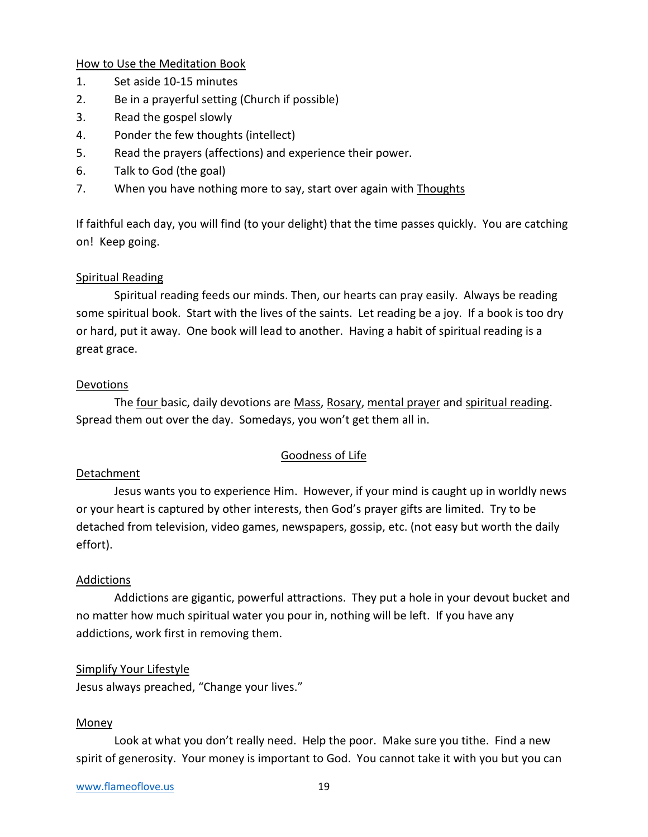How to Use the Meditation Book

- 1. Set aside 10-15 minutes
- 2. Be in a prayerful setting (Church if possible)
- 3. Read the gospel slowly
- 4. Ponder the few thoughts (intellect)
- 5. Read the prayers (affections) and experience their power.
- 6. Talk to God (the goal)
- 7. When you have nothing more to say, start over again with Thoughts

If faithful each day, you will find (to your delight) that the time passes quickly. You are catching on! Keep going.

### Spiritual Reading

Spiritual reading feeds our minds. Then, our hearts can pray easily. Always be reading some spiritual book. Start with the lives of the saints. Let reading be a joy. If a book is too dry or hard, put it away. One book will lead to another. Having a habit of spiritual reading is a great grace.

#### Devotions

The four basic, daily devotions are Mass, Rosary, mental prayer and spiritual reading. Spread them out over the day. Somedays, you won't get them all in.

#### Goodness of Life

#### Detachment

Jesus wants you to experience Him. However, if your mind is caught up in worldly news or your heart is captured by other interests, then God's prayer gifts are limited. Try to be detached from television, video games, newspapers, gossip, etc. (not easy but worth the daily effort).

#### Addictions

Addictions are gigantic, powerful attractions. They put a hole in your devout bucket and no matter how much spiritual water you pour in, nothing will be left. If you have any addictions, work first in removing them.

#### Simplify Your Lifestyle

Jesus always preached, "Change your lives."

#### Money

Look at what you don't really need. Help the poor. Make sure you tithe. Find a new spirit of generosity. Your money is important to God. You cannot take it with you but you can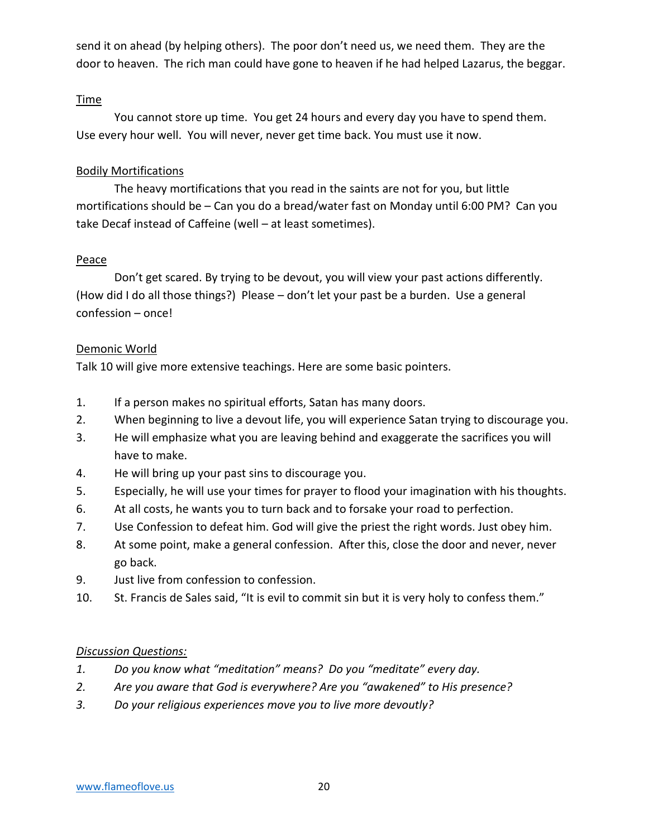send it on ahead (by helping others). The poor don't need us, we need them. They are the door to heaven. The rich man could have gone to heaven if he had helped Lazarus, the beggar.

### **Time**

You cannot store up time. You get 24 hours and every day you have to spend them. Use every hour well. You will never, never get time back. You must use it now.

### Bodily Mortifications

The heavy mortifications that you read in the saints are not for you, but little mortifications should be – Can you do a bread/water fast on Monday until 6:00 PM? Can you take Decaf instead of Caffeine (well – at least sometimes).

### **Peace**

Don't get scared. By trying to be devout, you will view your past actions differently. (How did I do all those things?) Please – don't let your past be a burden. Use a general confession – once!

### Demonic World

Talk 10 will give more extensive teachings. Here are some basic pointers.

- 1. If a person makes no spiritual efforts, Satan has many doors.
- 2. When beginning to live a devout life, you will experience Satan trying to discourage you.
- 3. He will emphasize what you are leaving behind and exaggerate the sacrifices you will have to make.
- 4. He will bring up your past sins to discourage you.
- 5. Especially, he will use your times for prayer to flood your imagination with his thoughts.
- 6. At all costs, he wants you to turn back and to forsake your road to perfection.
- 7. Use Confession to defeat him. God will give the priest the right words. Just obey him.
- 8. At some point, make a general confession. After this, close the door and never, never go back.
- 9. Just live from confession to confession.
- 10. St. Francis de Sales said, "It is evil to commit sin but it is very holy to confess them."

#### *Discussion Questions:*

- *1. Do you know what "meditation" means? Do you "meditate" every day.*
- *2. Are you aware that God is everywhere? Are you "awakened" to His presence?*
- *3. Do your religious experiences move you to live more devoutly?*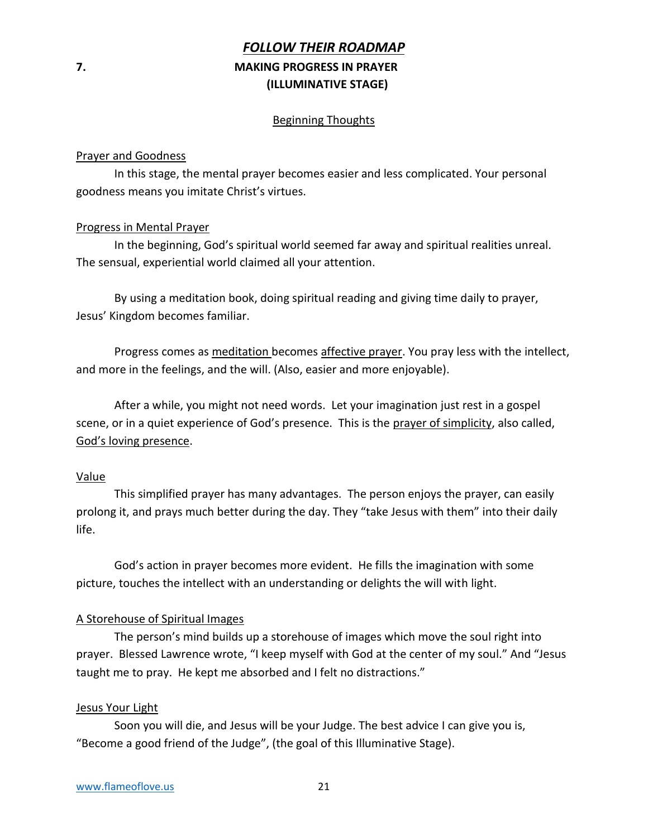## *FOLLOW THEIR ROADMAP* **7. MAKING PROGRESS IN PRAYER (ILLUMINATIVE STAGE)**

#### Beginning Thoughts

#### Prayer and Goodness

In this stage, the mental prayer becomes easier and less complicated. Your personal goodness means you imitate Christ's virtues.

#### Progress in Mental Prayer

In the beginning, God's spiritual world seemed far away and spiritual realities unreal. The sensual, experiential world claimed all your attention.

By using a meditation book, doing spiritual reading and giving time daily to prayer, Jesus' Kingdom becomes familiar.

Progress comes as meditation becomes affective prayer. You pray less with the intellect, and more in the feelings, and the will. (Also, easier and more enjoyable).

After a while, you might not need words. Let your imagination just rest in a gospel scene, or in a quiet experience of God's presence. This is the prayer of simplicity, also called, God's loving presence.

#### Value

This simplified prayer has many advantages. The person enjoys the prayer, can easily prolong it, and prays much better during the day. They "take Jesus with them" into their daily life.

God's action in prayer becomes more evident. He fills the imagination with some picture, touches the intellect with an understanding or delights the will with light.

#### A Storehouse of Spiritual Images

The person's mind builds up a storehouse of images which move the soul right into prayer. Blessed Lawrence wrote, "I keep myself with God at the center of my soul." And "Jesus taught me to pray. He kept me absorbed and I felt no distractions."

#### Jesus Your Light

Soon you will die, and Jesus will be your Judge. The best advice I can give you is, "Become a good friend of the Judge", (the goal of this Illuminative Stage).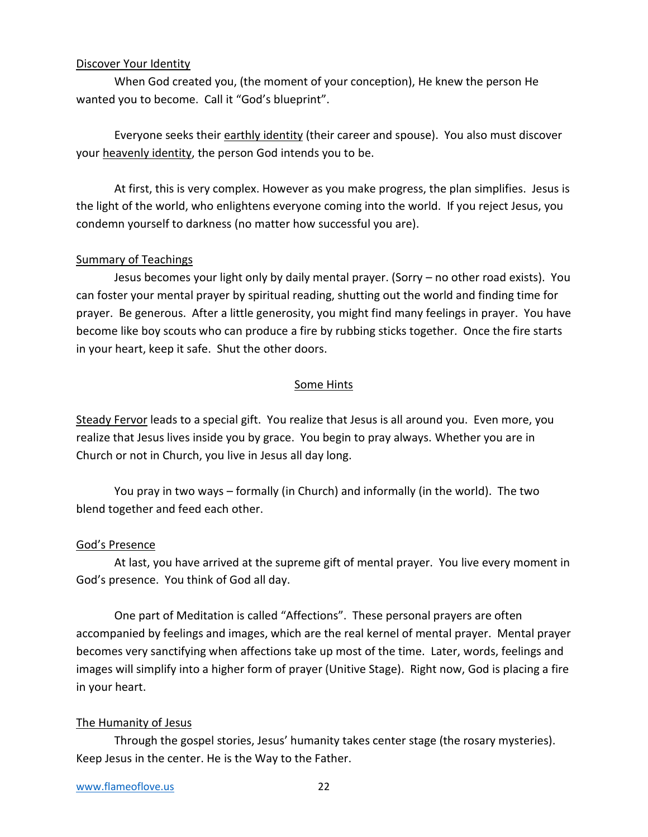#### Discover Your Identity

When God created you, (the moment of your conception), He knew the person He wanted you to become. Call it "God's blueprint".

Everyone seeks their earthly identity (their career and spouse). You also must discover your heavenly identity, the person God intends you to be.

At first, this is very complex. However as you make progress, the plan simplifies. Jesus is the light of the world, who enlightens everyone coming into the world. If you reject Jesus, you condemn yourself to darkness (no matter how successful you are).

#### Summary of Teachings

Jesus becomes your light only by daily mental prayer. (Sorry – no other road exists). You can foster your mental prayer by spiritual reading, shutting out the world and finding time for prayer. Be generous. After a little generosity, you might find many feelings in prayer. You have become like boy scouts who can produce a fire by rubbing sticks together. Once the fire starts in your heart, keep it safe. Shut the other doors.

#### Some Hints

Steady Fervor leads to a special gift. You realize that Jesus is all around you. Even more, you realize that Jesus lives inside you by grace. You begin to pray always. Whether you are in Church or not in Church, you live in Jesus all day long.

You pray in two ways – formally (in Church) and informally (in the world). The two blend together and feed each other.

#### God's Presence

At last, you have arrived at the supreme gift of mental prayer. You live every moment in God's presence. You think of God all day.

One part of Meditation is called "Affections". These personal prayers are often accompanied by feelings and images, which are the real kernel of mental prayer. Mental prayer becomes very sanctifying when affections take up most of the time. Later, words, feelings and images will simplify into a higher form of prayer (Unitive Stage). Right now, God is placing a fire in your heart.

#### The Humanity of Jesus

Through the gospel stories, Jesus' humanity takes center stage (the rosary mysteries). Keep Jesus in the center. He is the Way to the Father.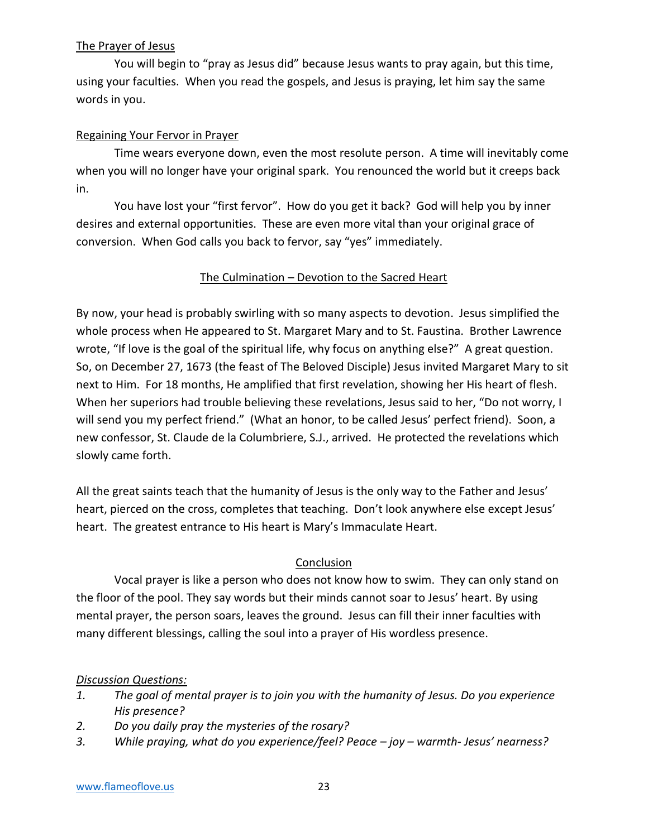### The Prayer of Jesus

You will begin to "pray as Jesus did" because Jesus wants to pray again, but this time, using your faculties. When you read the gospels, and Jesus is praying, let him say the same words in you.

### Regaining Your Fervor in Prayer

Time wears everyone down, even the most resolute person. A time will inevitably come when you will no longer have your original spark. You renounced the world but it creeps back in.

You have lost your "first fervor". How do you get it back? God will help you by inner desires and external opportunities. These are even more vital than your original grace of conversion. When God calls you back to fervor, say "yes" immediately.

#### The Culmination – Devotion to the Sacred Heart

By now, your head is probably swirling with so many aspects to devotion. Jesus simplified the whole process when He appeared to St. Margaret Mary and to St. Faustina. Brother Lawrence wrote, "If love is the goal of the spiritual life, why focus on anything else?" A great question. So, on December 27, 1673 (the feast of The Beloved Disciple) Jesus invited Margaret Mary to sit next to Him. For 18 months, He amplified that first revelation, showing her His heart of flesh. When her superiors had trouble believing these revelations, Jesus said to her, "Do not worry, I will send you my perfect friend." (What an honor, to be called Jesus' perfect friend). Soon, a new confessor, St. Claude de la Columbriere, S.J., arrived. He protected the revelations which slowly came forth.

All the great saints teach that the humanity of Jesus is the only way to the Father and Jesus' heart, pierced on the cross, completes that teaching. Don't look anywhere else except Jesus' heart. The greatest entrance to His heart is Mary's Immaculate Heart.

### **Conclusion**

Vocal prayer is like a person who does not know how to swim. They can only stand on the floor of the pool. They say words but their minds cannot soar to Jesus' heart. By using mental prayer, the person soars, leaves the ground. Jesus can fill their inner faculties with many different blessings, calling the soul into a prayer of His wordless presence.

#### *Discussion Questions:*

- *1. The goal of mental prayer is to join you with the humanity of Jesus. Do you experience His presence?*
- *2. Do you daily pray the mysteries of the rosary?*
- *3. While praying, what do you experience/feel? Peace – joy – warmth- Jesus' nearness?*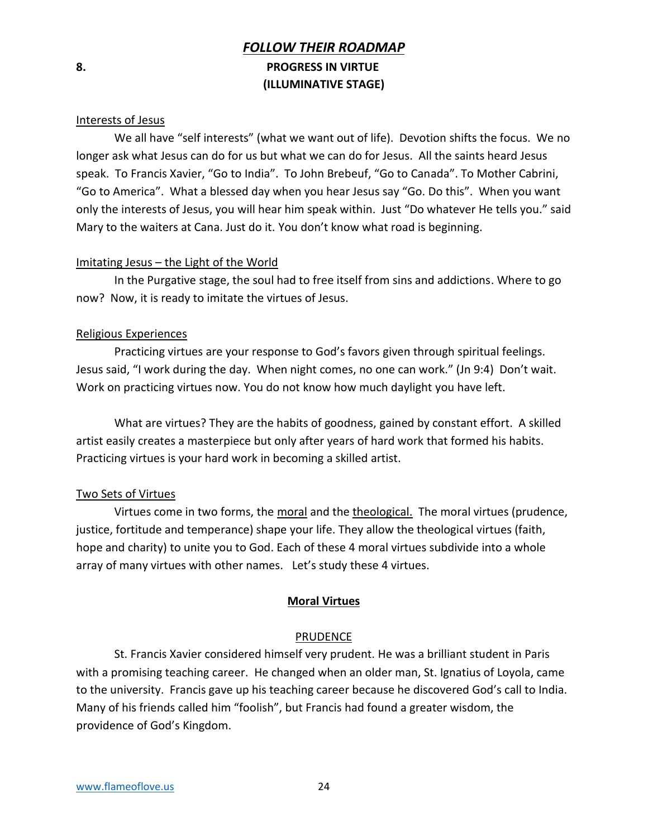## *FOLLOW THEIR ROADMAP* **8. PROGRESS IN VIRTUE (ILLUMINATIVE STAGE)**

#### Interests of Jesus

We all have "self interests" (what we want out of life). Devotion shifts the focus. We no longer ask what Jesus can do for us but what we can do for Jesus. All the saints heard Jesus speak. To Francis Xavier, "Go to India". To John Brebeuf, "Go to Canada". To Mother Cabrini, "Go to America". What a blessed day when you hear Jesus say "Go. Do this". When you want only the interests of Jesus, you will hear him speak within. Just "Do whatever He tells you." said Mary to the waiters at Cana. Just do it. You don't know what road is beginning.

#### Imitating Jesus – the Light of the World

In the Purgative stage, the soul had to free itself from sins and addictions. Where to go now? Now, it is ready to imitate the virtues of Jesus.

#### Religious Experiences

Practicing virtues are your response to God's favors given through spiritual feelings. Jesus said, "I work during the day. When night comes, no one can work." (Jn 9:4) Don't wait. Work on practicing virtues now. You do not know how much daylight you have left.

What are virtues? They are the habits of goodness, gained by constant effort. A skilled artist easily creates a masterpiece but only after years of hard work that formed his habits. Practicing virtues is your hard work in becoming a skilled artist.

#### Two Sets of Virtues

Virtues come in two forms, the moral and the theological. The moral virtues (prudence, justice, fortitude and temperance) shape your life. They allow the theological virtues (faith, hope and charity) to unite you to God. Each of these 4 moral virtues subdivide into a whole array of many virtues with other names. Let's study these 4 virtues.

#### **Moral Virtues**

#### PRUDENCE

St. Francis Xavier considered himself very prudent. He was a brilliant student in Paris with a promising teaching career. He changed when an older man, St. Ignatius of Loyola, came to the university. Francis gave up his teaching career because he discovered God's call to India. Many of his friends called him "foolish", but Francis had found a greater wisdom, the providence of God's Kingdom.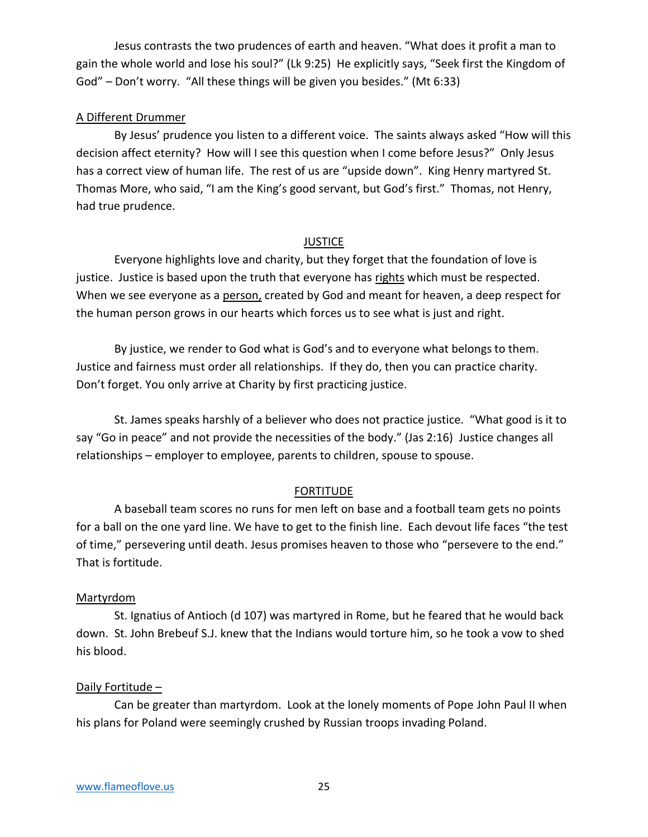Jesus contrasts the two prudences of earth and heaven. "What does it profit a man to gain the whole world and lose his soul?" (Lk 9:25) He explicitly says, "Seek first the Kingdom of God" – Don't worry. "All these things will be given you besides." (Mt 6:33)

#### A Different Drummer

By Jesus' prudence you listen to a different voice. The saints always asked "How will this decision affect eternity? How will I see this question when I come before Jesus?" Only Jesus has a correct view of human life. The rest of us are "upside down". King Henry martyred St. Thomas More, who said, "I am the King's good servant, but God's first." Thomas, not Henry, had true prudence.

#### **JUSTICE**

Everyone highlights love and charity, but they forget that the foundation of love is justice. Justice is based upon the truth that everyone has rights which must be respected. When we see everyone as a person, created by God and meant for heaven, a deep respect for the human person grows in our hearts which forces us to see what is just and right.

By justice, we render to God what is God's and to everyone what belongs to them. Justice and fairness must order all relationships. If they do, then you can practice charity. Don't forget. You only arrive at Charity by first practicing justice.

St. James speaks harshly of a believer who does not practice justice. "What good is it to say "Go in peace" and not provide the necessities of the body." (Jas 2:16) Justice changes all relationships – employer to employee, parents to children, spouse to spouse.

#### FORTITUDE

A baseball team scores no runs for men left on base and a football team gets no points for a ball on the one yard line. We have to get to the finish line. Each devout life faces "the test of time," persevering until death. Jesus promises heaven to those who "persevere to the end." That is fortitude.

#### Martyrdom

St. Ignatius of Antioch (d 107) was martyred in Rome, but he feared that he would back down. St. John Brebeuf S.J. knew that the Indians would torture him, so he took a vow to shed his blood.

#### Daily Fortitude –

Can be greater than martyrdom. Look at the lonely moments of Pope John Paul II when his plans for Poland were seemingly crushed by Russian troops invading Poland.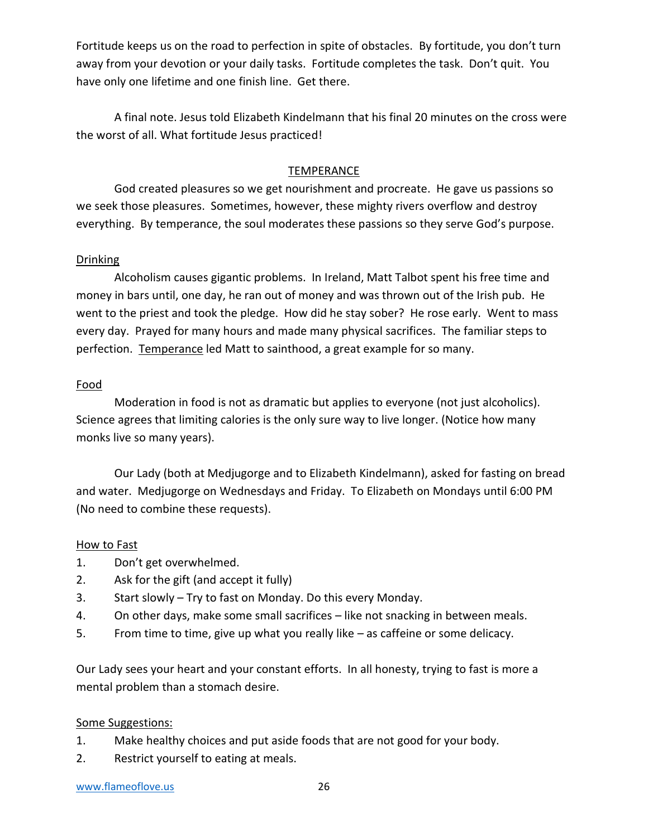Fortitude keeps us on the road to perfection in spite of obstacles. By fortitude, you don't turn away from your devotion or your daily tasks. Fortitude completes the task. Don't quit. You have only one lifetime and one finish line. Get there.

A final note. Jesus told Elizabeth Kindelmann that his final 20 minutes on the cross were the worst of all. What fortitude Jesus practiced!

### TEMPERANCE

God created pleasures so we get nourishment and procreate. He gave us passions so we seek those pleasures. Sometimes, however, these mighty rivers overflow and destroy everything. By temperance, the soul moderates these passions so they serve God's purpose.

#### Drinking

Alcoholism causes gigantic problems. In Ireland, Matt Talbot spent his free time and money in bars until, one day, he ran out of money and was thrown out of the Irish pub. He went to the priest and took the pledge. How did he stay sober? He rose early. Went to mass every day. Prayed for many hours and made many physical sacrifices. The familiar steps to perfection. Temperance led Matt to sainthood, a great example for so many.

#### Food

Moderation in food is not as dramatic but applies to everyone (not just alcoholics). Science agrees that limiting calories is the only sure way to live longer. (Notice how many monks live so many years).

Our Lady (both at Medjugorge and to Elizabeth Kindelmann), asked for fasting on bread and water. Medjugorge on Wednesdays and Friday. To Elizabeth on Mondays until 6:00 PM (No need to combine these requests).

#### How to Fast

- 1. Don't get overwhelmed.
- 2. Ask for the gift (and accept it fully)
- 3. Start slowly Try to fast on Monday. Do this every Monday.
- 4. On other days, make some small sacrifices like not snacking in between meals.
- 5. From time to time, give up what you really like as caffeine or some delicacy.

Our Lady sees your heart and your constant efforts. In all honesty, trying to fast is more a mental problem than a stomach desire.

#### Some Suggestions:

- 1. Make healthy choices and put aside foods that are not good for your body.
- 2. Restrict yourself to eating at meals.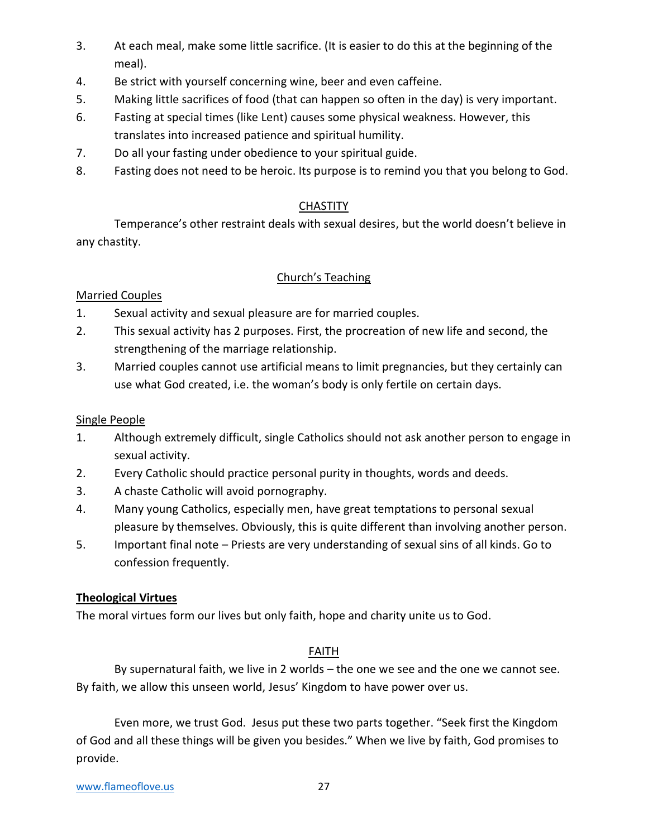- 3. At each meal, make some little sacrifice. (It is easier to do this at the beginning of the meal).
- 4. Be strict with yourself concerning wine, beer and even caffeine.
- 5. Making little sacrifices of food (that can happen so often in the day) is very important.
- 6. Fasting at special times (like Lent) causes some physical weakness. However, this translates into increased patience and spiritual humility.
- 7. Do all your fasting under obedience to your spiritual guide.
- 8. Fasting does not need to be heroic. Its purpose is to remind you that you belong to God.

### **CHASTITY**

Temperance's other restraint deals with sexual desires, but the world doesn't believe in any chastity.

### Church's Teaching

### Married Couples

- 1. Sexual activity and sexual pleasure are for married couples.
- 2. This sexual activity has 2 purposes. First, the procreation of new life and second, the strengthening of the marriage relationship.
- 3. Married couples cannot use artificial means to limit pregnancies, but they certainly can use what God created, i.e. the woman's body is only fertile on certain days.

### Single People

- 1. Although extremely difficult, single Catholics should not ask another person to engage in sexual activity.
- 2. Every Catholic should practice personal purity in thoughts, words and deeds.
- 3. A chaste Catholic will avoid pornography.
- 4. Many young Catholics, especially men, have great temptations to personal sexual pleasure by themselves. Obviously, this is quite different than involving another person.
- 5. Important final note Priests are very understanding of sexual sins of all kinds. Go to confession frequently.

### **Theological Virtues**

The moral virtues form our lives but only faith, hope and charity unite us to God.

### FAITH

By supernatural faith, we live in 2 worlds – the one we see and the one we cannot see. By faith, we allow this unseen world, Jesus' Kingdom to have power over us.

Even more, we trust God. Jesus put these two parts together. "Seek first the Kingdom of God and all these things will be given you besides." When we live by faith, God promises to provide.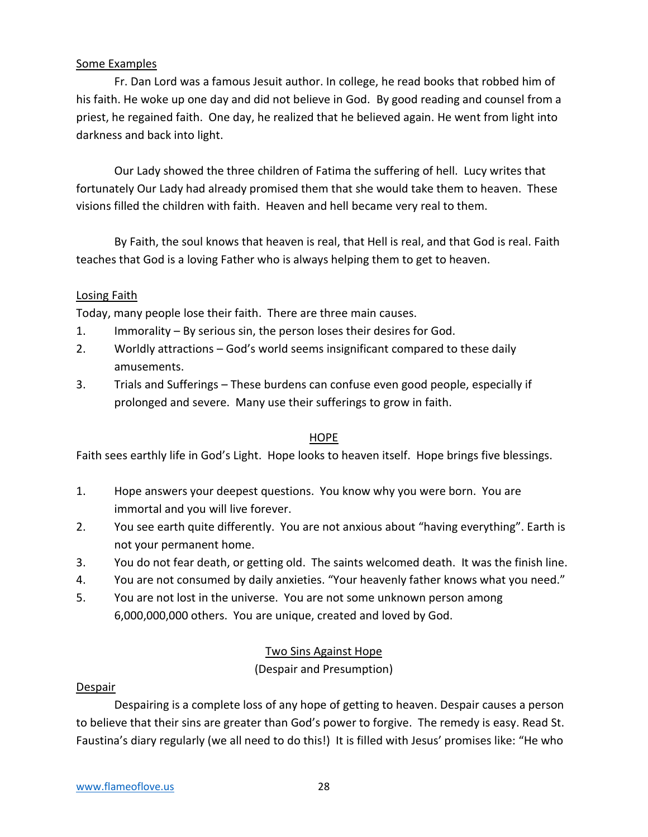### Some Examples

Fr. Dan Lord was a famous Jesuit author. In college, he read books that robbed him of his faith. He woke up one day and did not believe in God. By good reading and counsel from a priest, he regained faith. One day, he realized that he believed again. He went from light into darkness and back into light.

Our Lady showed the three children of Fatima the suffering of hell. Lucy writes that fortunately Our Lady had already promised them that she would take them to heaven. These visions filled the children with faith. Heaven and hell became very real to them.

By Faith, the soul knows that heaven is real, that Hell is real, and that God is real. Faith teaches that God is a loving Father who is always helping them to get to heaven.

### Losing Faith

Today, many people lose their faith. There are three main causes.

- 1. Immorality By serious sin, the person loses their desires for God.
- 2. Worldly attractions God's world seems insignificant compared to these daily amusements.
- 3. Trials and Sufferings These burdens can confuse even good people, especially if prolonged and severe. Many use their sufferings to grow in faith.

#### HOPE

Faith sees earthly life in God's Light. Hope looks to heaven itself. Hope brings five blessings.

- 1. Hope answers your deepest questions. You know why you were born. You are immortal and you will live forever.
- 2. You see earth quite differently. You are not anxious about "having everything". Earth is not your permanent home.
- 3. You do not fear death, or getting old. The saints welcomed death. It was the finish line.
- 4. You are not consumed by daily anxieties. "Your heavenly father knows what you need."
- 5. You are not lost in the universe. You are not some unknown person among 6,000,000,000 others. You are unique, created and loved by God.

### Two Sins Against Hope

(Despair and Presumption)

#### Despair

Despairing is a complete loss of any hope of getting to heaven. Despair causes a person to believe that their sins are greater than God's power to forgive. The remedy is easy. Read St. Faustina's diary regularly (we all need to do this!) It is filled with Jesus' promises like: "He who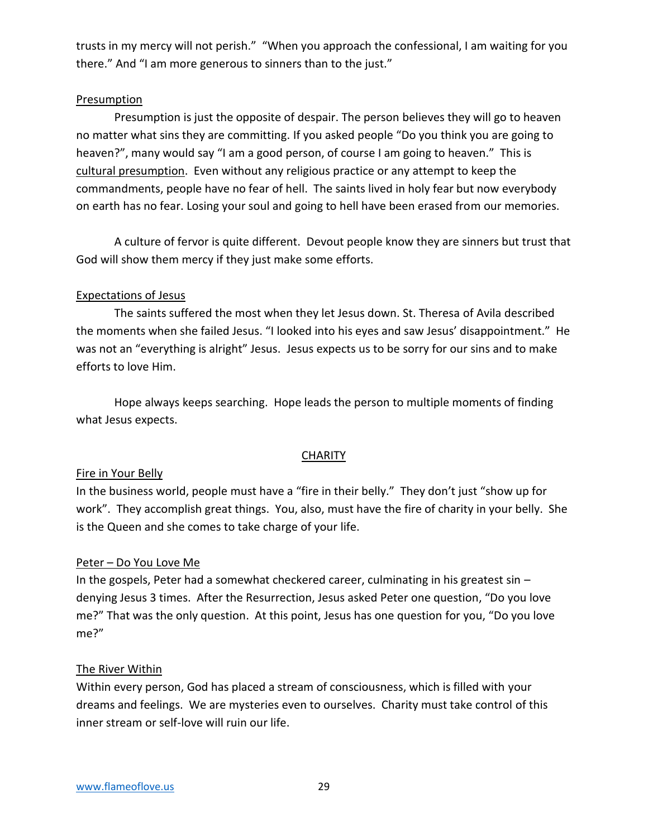trusts in my mercy will not perish." "When you approach the confessional, I am waiting for you there." And "I am more generous to sinners than to the just."

#### Presumption

Presumption is just the opposite of despair. The person believes they will go to heaven no matter what sins they are committing. If you asked people "Do you think you are going to heaven?", many would say "I am a good person, of course I am going to heaven." This is cultural presumption. Even without any religious practice or any attempt to keep the commandments, people have no fear of hell. The saints lived in holy fear but now everybody on earth has no fear. Losing your soul and going to hell have been erased from our memories.

A culture of fervor is quite different. Devout people know they are sinners but trust that God will show them mercy if they just make some efforts.

### Expectations of Jesus

The saints suffered the most when they let Jesus down. St. Theresa of Avila described the moments when she failed Jesus. "I looked into his eyes and saw Jesus' disappointment." He was not an "everything is alright" Jesus. Jesus expects us to be sorry for our sins and to make efforts to love Him.

Hope always keeps searching. Hope leads the person to multiple moments of finding what Jesus expects.

### **CHARITY**

### Fire in Your Belly

In the business world, people must have a "fire in their belly." They don't just "show up for work". They accomplish great things. You, also, must have the fire of charity in your belly. She is the Queen and she comes to take charge of your life.

### Peter – Do You Love Me

In the gospels, Peter had a somewhat checkered career, culminating in his greatest sin – denying Jesus 3 times. After the Resurrection, Jesus asked Peter one question, "Do you love me?" That was the only question. At this point, Jesus has one question for you, "Do you love me?"

### The River Within

Within every person, God has placed a stream of consciousness, which is filled with your dreams and feelings. We are mysteries even to ourselves. Charity must take control of this inner stream or self-love will ruin our life.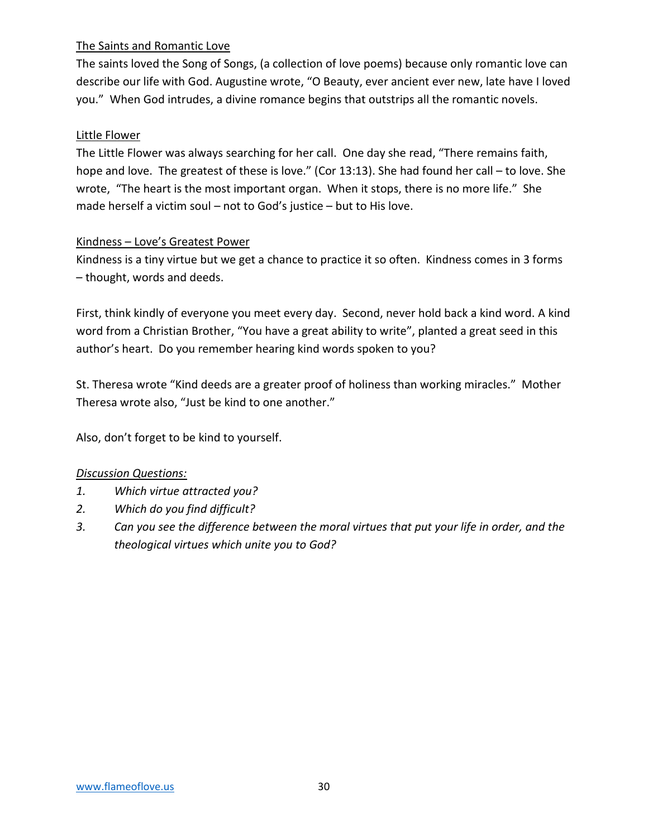### The Saints and Romantic Love

The saints loved the Song of Songs, (a collection of love poems) because only romantic love can describe our life with God. Augustine wrote, "O Beauty, ever ancient ever new, late have I loved you." When God intrudes, a divine romance begins that outstrips all the romantic novels.

### Little Flower

The Little Flower was always searching for her call. One day she read, "There remains faith, hope and love. The greatest of these is love." (Cor 13:13). She had found her call – to love. She wrote, "The heart is the most important organ. When it stops, there is no more life." She made herself a victim soul – not to God's justice – but to His love.

### Kindness – Love's Greatest Power

Kindness is a tiny virtue but we get a chance to practice it so often. Kindness comes in 3 forms – thought, words and deeds.

First, think kindly of everyone you meet every day. Second, never hold back a kind word. A kind word from a Christian Brother, "You have a great ability to write", planted a great seed in this author's heart. Do you remember hearing kind words spoken to you?

St. Theresa wrote "Kind deeds are a greater proof of holiness than working miracles." Mother Theresa wrote also, "Just be kind to one another."

Also, don't forget to be kind to yourself.

### *Discussion Questions:*

- *1. Which virtue attracted you?*
- *2. Which do you find difficult?*
- *3. Can you see the difference between the moral virtues that put your life in order, and the theological virtues which unite you to God?*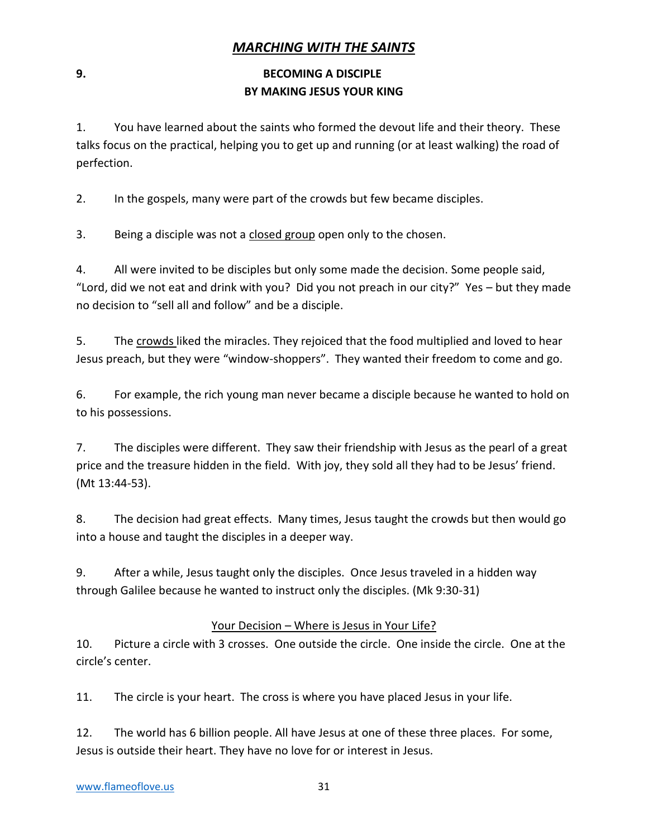### *MARCHING WITH THE SAINTS*

### **9. BECOMING A DISCIPLE BY MAKING JESUS YOUR KING**

1. You have learned about the saints who formed the devout life and their theory. These talks focus on the practical, helping you to get up and running (or at least walking) the road of perfection.

2. In the gospels, many were part of the crowds but few became disciples.

3. Being a disciple was not a closed group open only to the chosen.

4. All were invited to be disciples but only some made the decision. Some people said, "Lord, did we not eat and drink with you? Did you not preach in our city?" Yes – but they made no decision to "sell all and follow" and be a disciple.

5. The crowds liked the miracles. They rejoiced that the food multiplied and loved to hear Jesus preach, but they were "window-shoppers". They wanted their freedom to come and go.

6. For example, the rich young man never became a disciple because he wanted to hold on to his possessions.

7. The disciples were different. They saw their friendship with Jesus as the pearl of a great price and the treasure hidden in the field. With joy, they sold all they had to be Jesus' friend. (Mt 13:44-53).

8. The decision had great effects. Many times, Jesus taught the crowds but then would go into a house and taught the disciples in a deeper way.

9. After a while, Jesus taught only the disciples. Once Jesus traveled in a hidden way through Galilee because he wanted to instruct only the disciples. (Mk 9:30-31)

### Your Decision – Where is Jesus in Your Life?

10. Picture a circle with 3 crosses. One outside the circle. One inside the circle. One at the circle's center.

11. The circle is your heart. The cross is where you have placed Jesus in your life.

12. The world has 6 billion people. All have Jesus at one of these three places. For some, Jesus is outside their heart. They have no love for or interest in Jesus.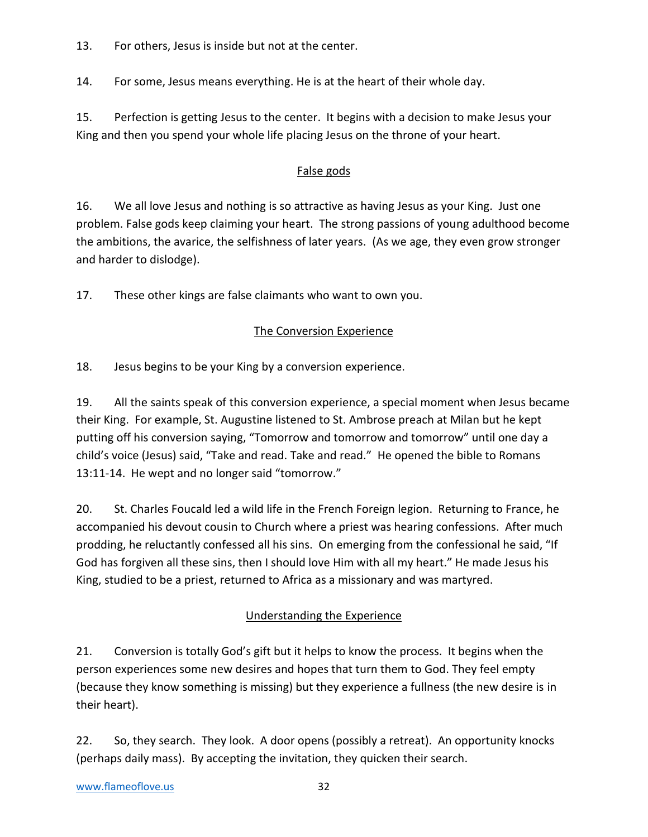13. For others, Jesus is inside but not at the center.

14. For some, Jesus means everything. He is at the heart of their whole day.

15. Perfection is getting Jesus to the center. It begins with a decision to make Jesus your King and then you spend your whole life placing Jesus on the throne of your heart.

### False gods

16. We all love Jesus and nothing is so attractive as having Jesus as your King. Just one problem. False gods keep claiming your heart. The strong passions of young adulthood become the ambitions, the avarice, the selfishness of later years. (As we age, they even grow stronger and harder to dislodge).

17. These other kings are false claimants who want to own you.

### The Conversion Experience

18. Jesus begins to be your King by a conversion experience.

19. All the saints speak of this conversion experience, a special moment when Jesus became their King. For example, St. Augustine listened to St. Ambrose preach at Milan but he kept putting off his conversion saying, "Tomorrow and tomorrow and tomorrow" until one day a child's voice (Jesus) said, "Take and read. Take and read." He opened the bible to Romans 13:11-14. He wept and no longer said "tomorrow."

20. St. Charles Foucald led a wild life in the French Foreign legion. Returning to France, he accompanied his devout cousin to Church where a priest was hearing confessions. After much prodding, he reluctantly confessed all his sins. On emerging from the confessional he said, "If God has forgiven all these sins, then I should love Him with all my heart." He made Jesus his King, studied to be a priest, returned to Africa as a missionary and was martyred.

### Understanding the Experience

21. Conversion is totally God's gift but it helps to know the process. It begins when the person experiences some new desires and hopes that turn them to God. They feel empty (because they know something is missing) but they experience a fullness (the new desire is in their heart).

22. So, they search. They look. A door opens (possibly a retreat). An opportunity knocks (perhaps daily mass). By accepting the invitation, they quicken their search.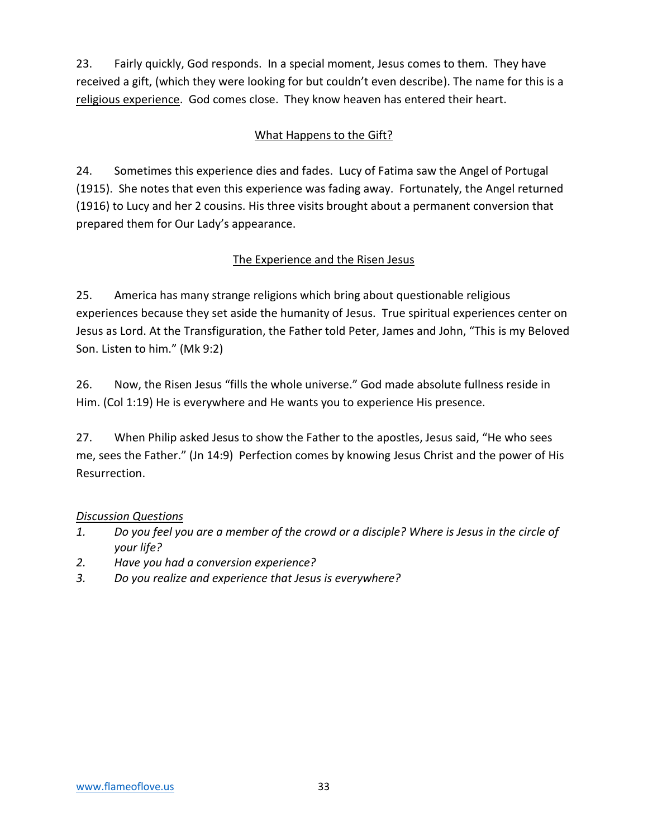23. Fairly quickly, God responds. In a special moment, Jesus comes to them. They have received a gift, (which they were looking for but couldn't even describe). The name for this is a religious experience. God comes close. They know heaven has entered their heart.

### What Happens to the Gift?

24. Sometimes this experience dies and fades. Lucy of Fatima saw the Angel of Portugal (1915). She notes that even this experience was fading away. Fortunately, the Angel returned (1916) to Lucy and her 2 cousins. His three visits brought about a permanent conversion that prepared them for Our Lady's appearance.

### The Experience and the Risen Jesus

25. America has many strange religions which bring about questionable religious experiences because they set aside the humanity of Jesus. True spiritual experiences center on Jesus as Lord. At the Transfiguration, the Father told Peter, James and John, "This is my Beloved Son. Listen to him." (Mk 9:2)

26. Now, the Risen Jesus "fills the whole universe." God made absolute fullness reside in Him. (Col 1:19) He is everywhere and He wants you to experience His presence.

27. When Philip asked Jesus to show the Father to the apostles, Jesus said, "He who sees me, sees the Father." (Jn 14:9) Perfection comes by knowing Jesus Christ and the power of His Resurrection.

### *Discussion Questions*

- *1. Do you feel you are a member of the crowd or a disciple? Where is Jesus in the circle of your life?*
- *2. Have you had a conversion experience?*
- *3. Do you realize and experience that Jesus is everywhere?*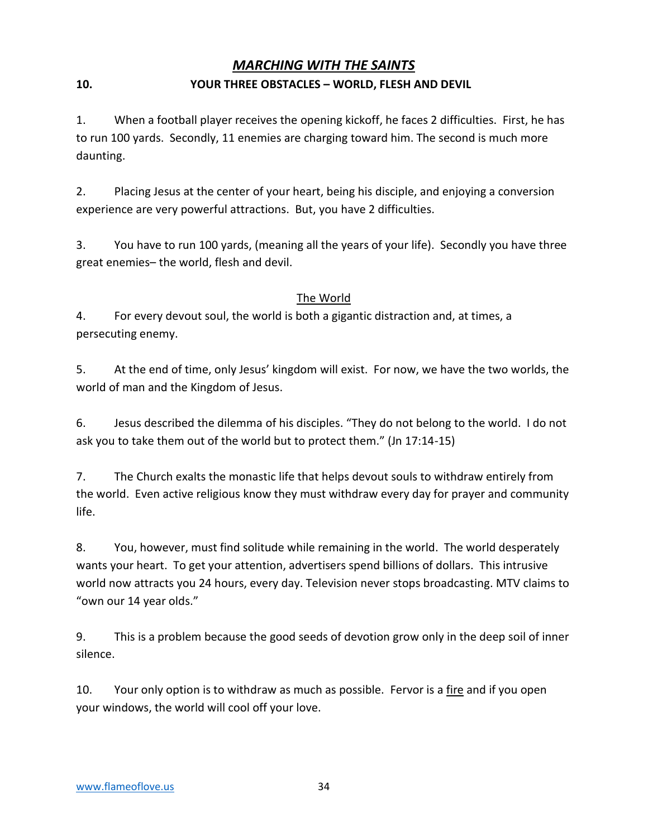### *MARCHING WITH THE SAINTS*

### **10. YOUR THREE OBSTACLES – WORLD, FLESH AND DEVIL**

1. When a football player receives the opening kickoff, he faces 2 difficulties. First, he has to run 100 yards. Secondly, 11 enemies are charging toward him. The second is much more daunting.

2. Placing Jesus at the center of your heart, being his disciple, and enjoying a conversion experience are very powerful attractions. But, you have 2 difficulties.

3. You have to run 100 yards, (meaning all the years of your life). Secondly you have three great enemies– the world, flesh and devil.

### The World

4. For every devout soul, the world is both a gigantic distraction and, at times, a persecuting enemy.

5. At the end of time, only Jesus' kingdom will exist. For now, we have the two worlds, the world of man and the Kingdom of Jesus.

6. Jesus described the dilemma of his disciples. "They do not belong to the world. I do not ask you to take them out of the world but to protect them." (Jn 17:14-15)

7. The Church exalts the monastic life that helps devout souls to withdraw entirely from the world. Even active religious know they must withdraw every day for prayer and community life.

8. You, however, must find solitude while remaining in the world. The world desperately wants your heart. To get your attention, advertisers spend billions of dollars. This intrusive world now attracts you 24 hours, every day. Television never stops broadcasting. MTV claims to "own our 14 year olds."

9. This is a problem because the good seeds of devotion grow only in the deep soil of inner silence.

10. Your only option is to withdraw as much as possible. Fervor is a fire and if you open your windows, the world will cool off your love.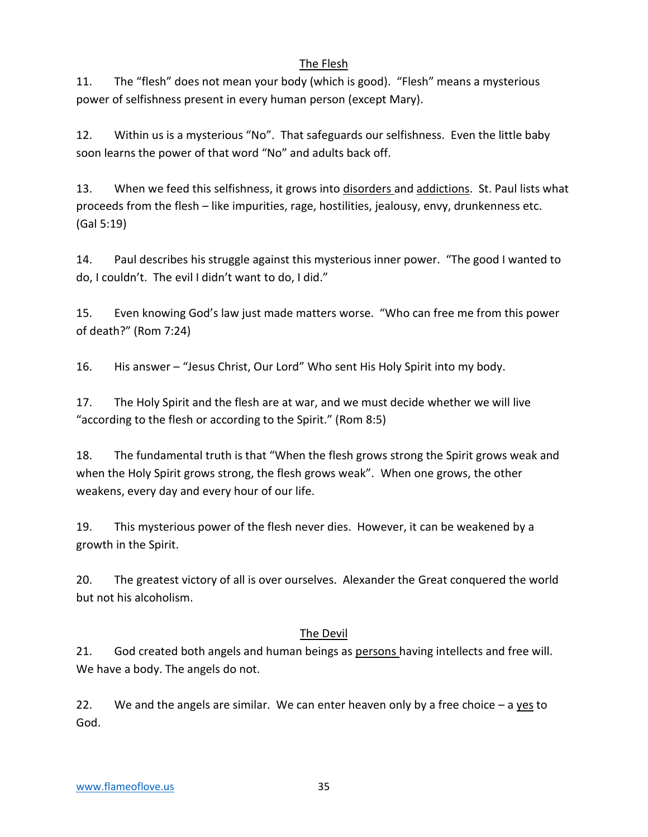### The Flesh

11. The "flesh" does not mean your body (which is good). "Flesh" means a mysterious power of selfishness present in every human person (except Mary).

12. Within us is a mysterious "No". That safeguards our selfishness. Even the little baby soon learns the power of that word "No" and adults back off.

13. When we feed this selfishness, it grows into disorders and addictions. St. Paul lists what proceeds from the flesh – like impurities, rage, hostilities, jealousy, envy, drunkenness etc. (Gal 5:19)

14. Paul describes his struggle against this mysterious inner power. "The good I wanted to do, I couldn't. The evil I didn't want to do, I did."

15. Even knowing God's law just made matters worse. "Who can free me from this power of death?" (Rom 7:24)

16. His answer – "Jesus Christ, Our Lord" Who sent His Holy Spirit into my body.

17. The Holy Spirit and the flesh are at war, and we must decide whether we will live "according to the flesh or according to the Spirit." (Rom 8:5)

18. The fundamental truth is that "When the flesh grows strong the Spirit grows weak and when the Holy Spirit grows strong, the flesh grows weak". When one grows, the other weakens, every day and every hour of our life.

19. This mysterious power of the flesh never dies. However, it can be weakened by a growth in the Spirit.

20. The greatest victory of all is over ourselves. Alexander the Great conquered the world but not his alcoholism.

### The Devil

21. God created both angels and human beings as persons having intellects and free will. We have a body. The angels do not.

22. We and the angels are similar. We can enter heaven only by a free choice  $-$  a yes to God.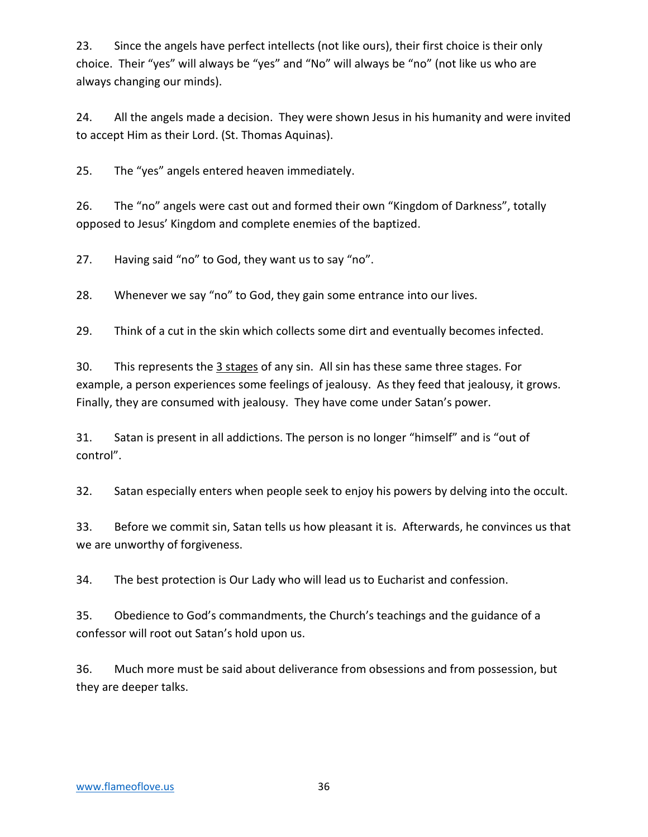23. Since the angels have perfect intellects (not like ours), their first choice is their only choice. Their "yes" will always be "yes" and "No" will always be "no" (not like us who are always changing our minds).

24. All the angels made a decision. They were shown Jesus in his humanity and were invited to accept Him as their Lord. (St. Thomas Aquinas).

25. The "yes" angels entered heaven immediately.

26. The "no" angels were cast out and formed their own "Kingdom of Darkness", totally opposed to Jesus' Kingdom and complete enemies of the baptized.

27. Having said "no" to God, they want us to say "no".

28. Whenever we say "no" to God, they gain some entrance into our lives.

29. Think of a cut in the skin which collects some dirt and eventually becomes infected.

30. This represents the 3 stages of any sin. All sin has these same three stages. For example, a person experiences some feelings of jealousy. As they feed that jealousy, it grows. Finally, they are consumed with jealousy. They have come under Satan's power.

31. Satan is present in all addictions. The person is no longer "himself" and is "out of control".

32. Satan especially enters when people seek to enjoy his powers by delving into the occult.

33. Before we commit sin, Satan tells us how pleasant it is. Afterwards, he convinces us that we are unworthy of forgiveness.

34. The best protection is Our Lady who will lead us to Eucharist and confession.

35. Obedience to God's commandments, the Church's teachings and the guidance of a confessor will root out Satan's hold upon us.

36. Much more must be said about deliverance from obsessions and from possession, but they are deeper talks.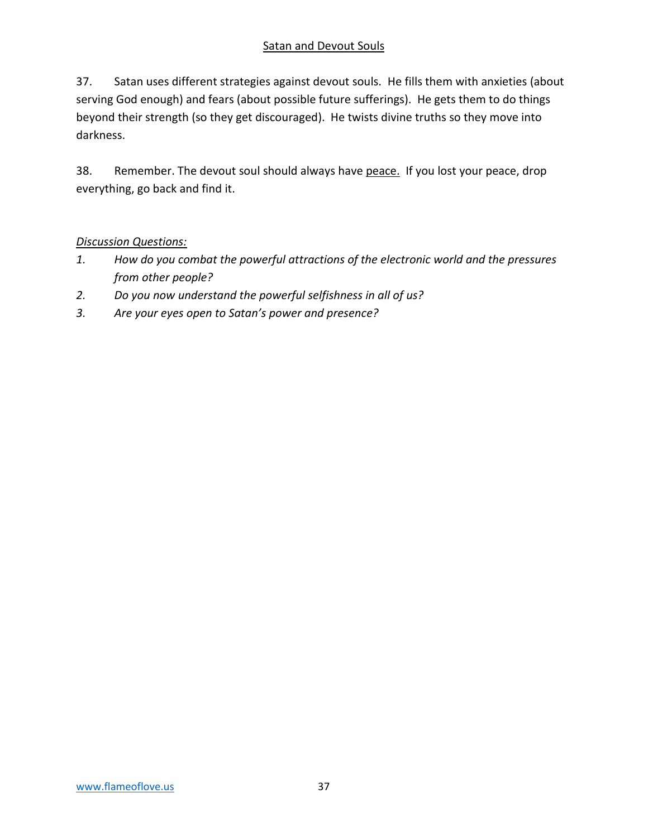### Satan and Devout Souls

37. Satan uses different strategies against devout souls. He fills them with anxieties (about serving God enough) and fears (about possible future sufferings). He gets them to do things beyond their strength (so they get discouraged). He twists divine truths so they move into darkness.

38. Remember. The devout soul should always have peace. If you lost your peace, drop everything, go back and find it.

### *Discussion Questions:*

- *1. How do you combat the powerful attractions of the electronic world and the pressures from other people?*
- *2. Do you now understand the powerful selfishness in all of us?*
- *3. Are your eyes open to Satan's power and presence?*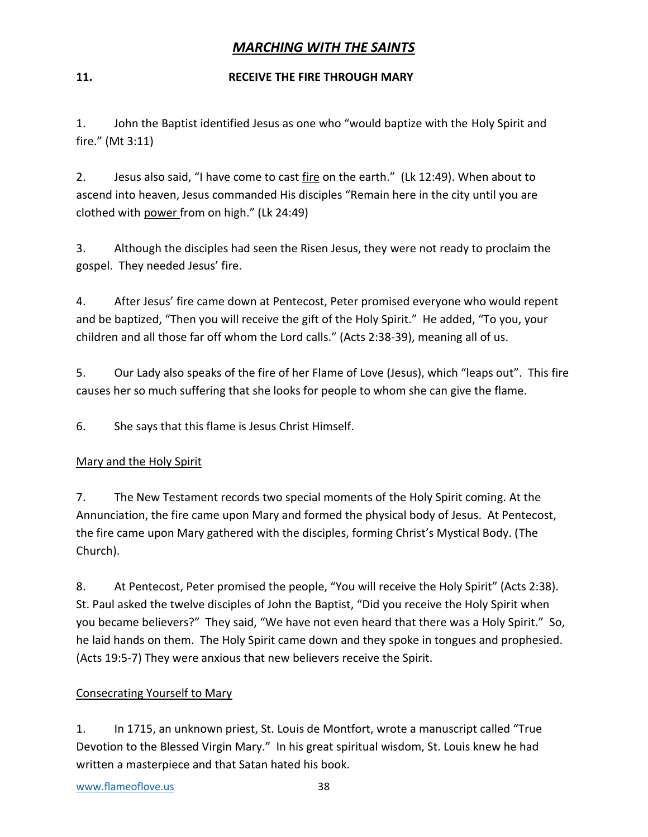### *MARCHING WITH THE SAINTS*

### **11. RECEIVE THE FIRE THROUGH MARY**

1. John the Baptist identified Jesus as one who "would baptize with the Holy Spirit and fire." (Mt 3:11)

2. Jesus also said, "I have come to cast fire on the earth." (Lk 12:49). When about to ascend into heaven, Jesus commanded His disciples "Remain here in the city until you are clothed with power from on high." (Lk 24:49)

3. Although the disciples had seen the Risen Jesus, they were not ready to proclaim the gospel. They needed Jesus' fire.

4. After Jesus' fire came down at Pentecost, Peter promised everyone who would repent and be baptized, "Then you will receive the gift of the Holy Spirit." He added, "To you, your children and all those far off whom the Lord calls." (Acts 2:38-39), meaning all of us.

5. Our Lady also speaks of the fire of her Flame of Love (Jesus), which "leaps out". This fire causes her so much suffering that she looks for people to whom she can give the flame.

6. She says that this flame is Jesus Christ Himself.

### Mary and the Holy Spirit

7. The New Testament records two special moments of the Holy Spirit coming. At the Annunciation, the fire came upon Mary and formed the physical body of Jesus. At Pentecost, the fire came upon Mary gathered with the disciples, forming Christ's Mystical Body. (The Church).

8. At Pentecost, Peter promised the people, "You will receive the Holy Spirit" (Acts 2:38). St. Paul asked the twelve disciples of John the Baptist, "Did you receive the Holy Spirit when you became believers?" They said, "We have not even heard that there was a Holy Spirit." So, he laid hands on them. The Holy Spirit came down and they spoke in tongues and prophesied. (Acts 19:5-7) They were anxious that new believers receive the Spirit.

### Consecrating Yourself to Mary

1. In 1715, an unknown priest, St. Louis de Montfort, wrote a manuscript called "True Devotion to the Blessed Virgin Mary." In his great spiritual wisdom, St. Louis knew he had written a masterpiece and that Satan hated his book.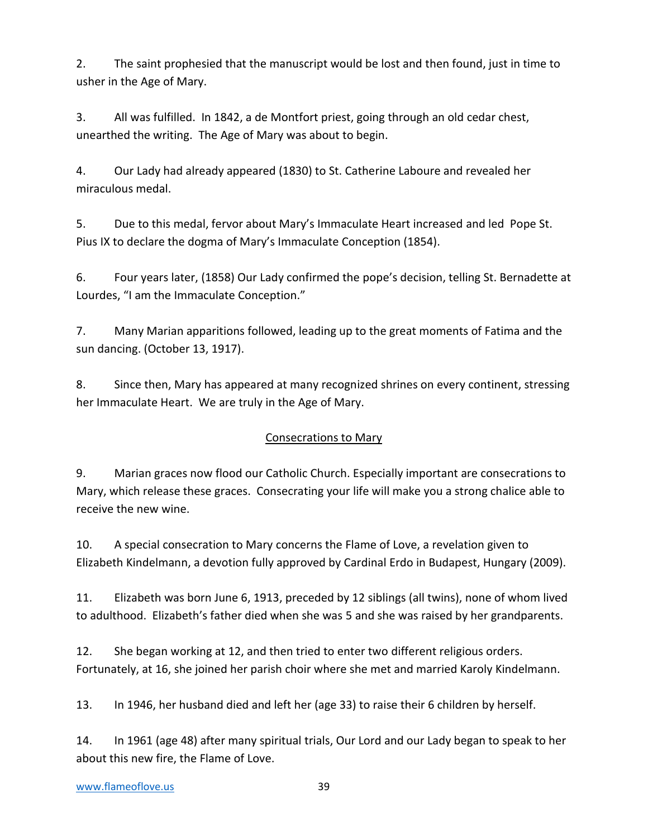2. The saint prophesied that the manuscript would be lost and then found, just in time to usher in the Age of Mary.

3. All was fulfilled. In 1842, a de Montfort priest, going through an old cedar chest, unearthed the writing. The Age of Mary was about to begin.

4. Our Lady had already appeared (1830) to St. Catherine Laboure and revealed her miraculous medal.

5. Due to this medal, fervor about Mary's Immaculate Heart increased and led Pope St. Pius IX to declare the dogma of Mary's Immaculate Conception (1854).

6. Four years later, (1858) Our Lady confirmed the pope's decision, telling St. Bernadette at Lourdes, "I am the Immaculate Conception."

7. Many Marian apparitions followed, leading up to the great moments of Fatima and the sun dancing. (October 13, 1917).

8. Since then, Mary has appeared at many recognized shrines on every continent, stressing her Immaculate Heart. We are truly in the Age of Mary.

### Consecrations to Mary

9. Marian graces now flood our Catholic Church. Especially important are consecrations to Mary, which release these graces. Consecrating your life will make you a strong chalice able to receive the new wine.

10. A special consecration to Mary concerns the Flame of Love, a revelation given to Elizabeth Kindelmann, a devotion fully approved by Cardinal Erdo in Budapest, Hungary (2009).

11. Elizabeth was born June 6, 1913, preceded by 12 siblings (all twins), none of whom lived to adulthood. Elizabeth's father died when she was 5 and she was raised by her grandparents.

12. She began working at 12, and then tried to enter two different religious orders. Fortunately, at 16, she joined her parish choir where she met and married Karoly Kindelmann.

13. In 1946, her husband died and left her (age 33) to raise their 6 children by herself.

14. In 1961 (age 48) after many spiritual trials, Our Lord and our Lady began to speak to her about this new fire, the Flame of Love.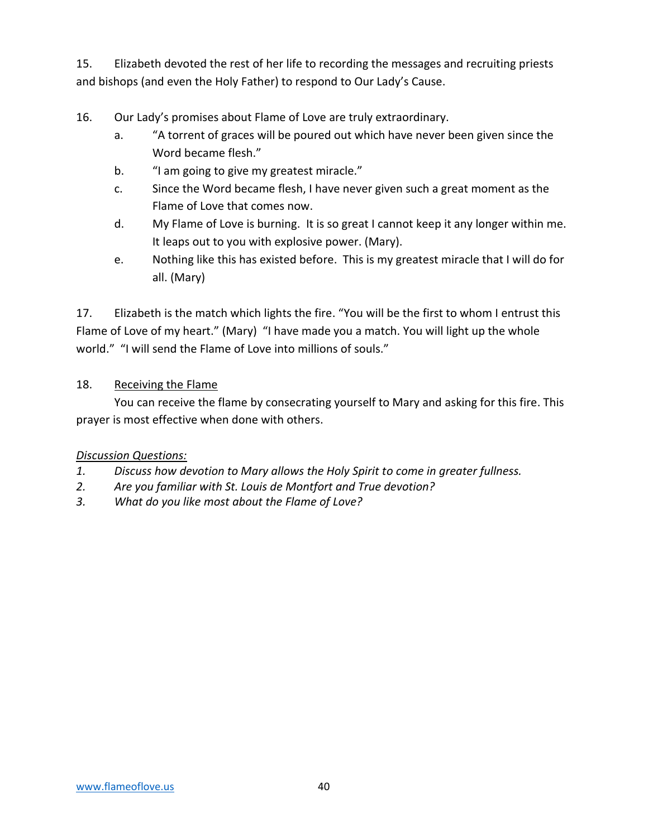15. Elizabeth devoted the rest of her life to recording the messages and recruiting priests and bishops (and even the Holy Father) to respond to Our Lady's Cause.

- 16. Our Lady's promises about Flame of Love are truly extraordinary.
	- a. "A torrent of graces will be poured out which have never been given since the Word became flesh."
	- b. "I am going to give my greatest miracle."
	- c. Since the Word became flesh, I have never given such a great moment as the Flame of Love that comes now.
	- d. My Flame of Love is burning. It is so great I cannot keep it any longer within me. It leaps out to you with explosive power. (Mary).
	- e. Nothing like this has existed before. This is my greatest miracle that I will do for all. (Mary)

17. Elizabeth is the match which lights the fire. "You will be the first to whom I entrust this Flame of Love of my heart." (Mary) "I have made you a match. You will light up the whole world." "I will send the Flame of Love into millions of souls."

### 18. Receiving the Flame

You can receive the flame by consecrating yourself to Mary and asking for this fire. This prayer is most effective when done with others.

### *Discussion Questions:*

- *1. Discuss how devotion to Mary allows the Holy Spirit to come in greater fullness.*
- *2. Are you familiar with St. Louis de Montfort and True devotion?*
- *3. What do you like most about the Flame of Love?*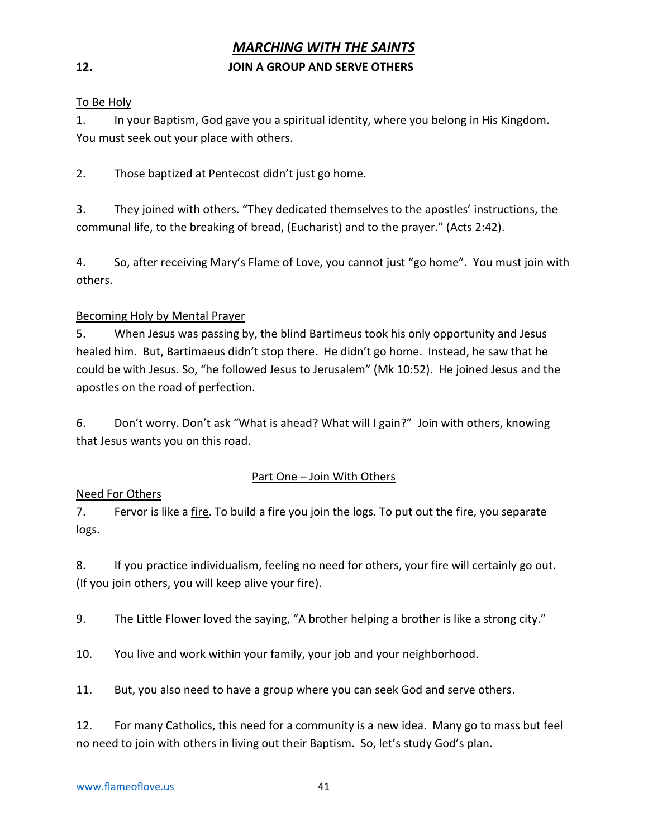### *MARCHING WITH THE SAINTS*

#### **12. JOIN A GROUP AND SERVE OTHERS**

#### To Be Holy

1. In your Baptism, God gave you a spiritual identity, where you belong in His Kingdom. You must seek out your place with others.

2. Those baptized at Pentecost didn't just go home.

3. They joined with others. "They dedicated themselves to the apostles' instructions, the communal life, to the breaking of bread, (Eucharist) and to the prayer." (Acts 2:42).

4. So, after receiving Mary's Flame of Love, you cannot just "go home". You must join with others.

#### Becoming Holy by Mental Prayer

5. When Jesus was passing by, the blind Bartimeus took his only opportunity and Jesus healed him. But, Bartimaeus didn't stop there. He didn't go home. Instead, he saw that he could be with Jesus. So, "he followed Jesus to Jerusalem" (Mk 10:52). He joined Jesus and the apostles on the road of perfection.

6. Don't worry. Don't ask "What is ahead? What will I gain?" Join with others, knowing that Jesus wants you on this road.

#### Part One – Join With Others

#### Need For Others

7. Fervor is like a fire. To build a fire you join the logs. To put out the fire, you separate logs.

8. If you practice individualism, feeling no need for others, your fire will certainly go out. (If you join others, you will keep alive your fire).

9. The Little Flower loved the saying, "A brother helping a brother is like a strong city."

10. You live and work within your family, your job and your neighborhood.

11. But, you also need to have a group where you can seek God and serve others.

12. For many Catholics, this need for a community is a new idea. Many go to mass but feel no need to join with others in living out their Baptism. So, let's study God's plan.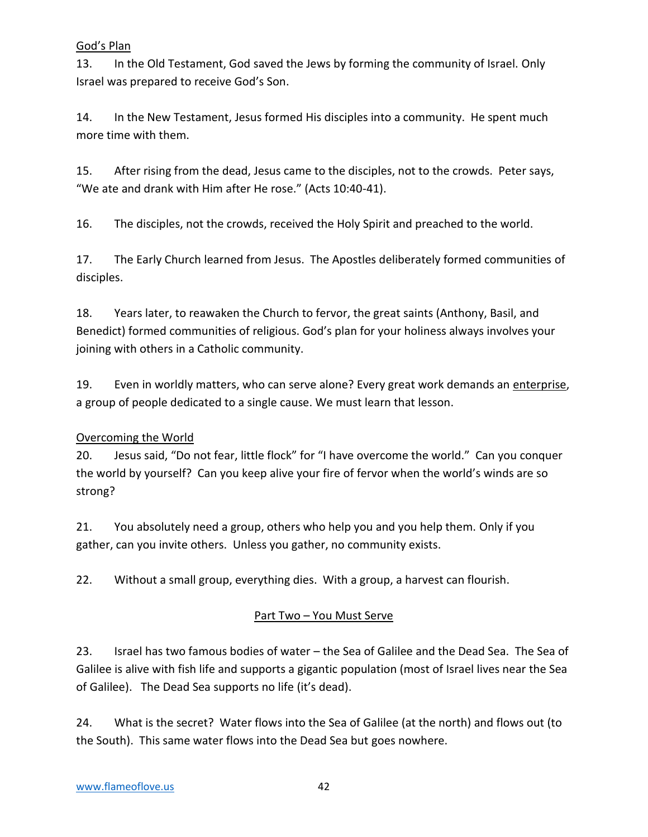### God's Plan

13. In the Old Testament, God saved the Jews by forming the community of Israel. Only Israel was prepared to receive God's Son.

14. In the New Testament, Jesus formed His disciples into a community. He spent much more time with them.

15. After rising from the dead, Jesus came to the disciples, not to the crowds. Peter says, "We ate and drank with Him after He rose." (Acts 10:40-41).

16. The disciples, not the crowds, received the Holy Spirit and preached to the world.

17. The Early Church learned from Jesus. The Apostles deliberately formed communities of disciples.

18. Years later, to reawaken the Church to fervor, the great saints (Anthony, Basil, and Benedict) formed communities of religious. God's plan for your holiness always involves your joining with others in a Catholic community.

19. Even in worldly matters, who can serve alone? Every great work demands an enterprise, a group of people dedicated to a single cause. We must learn that lesson.

### Overcoming the World

20. Jesus said, "Do not fear, little flock" for "I have overcome the world." Can you conquer the world by yourself? Can you keep alive your fire of fervor when the world's winds are so strong?

21. You absolutely need a group, others who help you and you help them. Only if you gather, can you invite others. Unless you gather, no community exists.

22. Without a small group, everything dies. With a group, a harvest can flourish.

### Part Two – You Must Serve

23. Israel has two famous bodies of water – the Sea of Galilee and the Dead Sea. The Sea of Galilee is alive with fish life and supports a gigantic population (most of Israel lives near the Sea of Galilee). The Dead Sea supports no life (it's dead).

24. What is the secret? Water flows into the Sea of Galilee (at the north) and flows out (to the South). This same water flows into the Dead Sea but goes nowhere.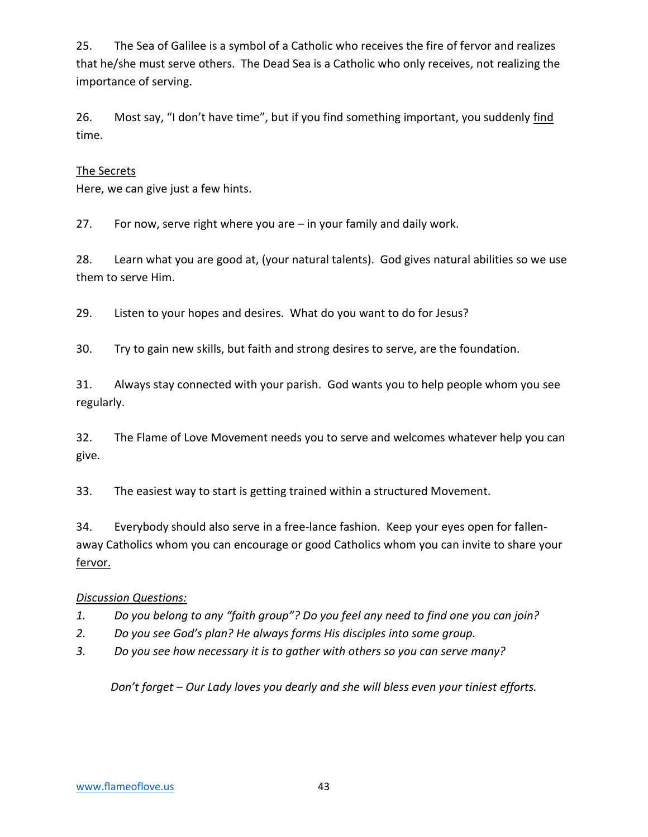25. The Sea of Galilee is a symbol of a Catholic who receives the fire of fervor and realizes that he/she must serve others. The Dead Sea is a Catholic who only receives, not realizing the importance of serving.

26. Most say, "I don't have time", but if you find something important, you suddenly find time.

### The Secrets

Here, we can give just a few hints.

27. For now, serve right where you are – in your family and daily work.

28. Learn what you are good at, (your natural talents). God gives natural abilities so we use them to serve Him.

29. Listen to your hopes and desires. What do you want to do for Jesus?

30. Try to gain new skills, but faith and strong desires to serve, are the foundation.

31. Always stay connected with your parish. God wants you to help people whom you see regularly.

32. The Flame of Love Movement needs you to serve and welcomes whatever help you can give.

33. The easiest way to start is getting trained within a structured Movement.

34. Everybody should also serve in a free-lance fashion. Keep your eyes open for fallenaway Catholics whom you can encourage or good Catholics whom you can invite to share your fervor.

### *Discussion Questions:*

- *1. Do you belong to any "faith group"? Do you feel any need to find one you can join?*
- *2. Do you see God's plan? He always forms His disciples into some group.*
- *3. Do you see how necessary it is to gather with others so you can serve many?*

*Don't forget – Our Lady loves you dearly and she will bless even your tiniest efforts.*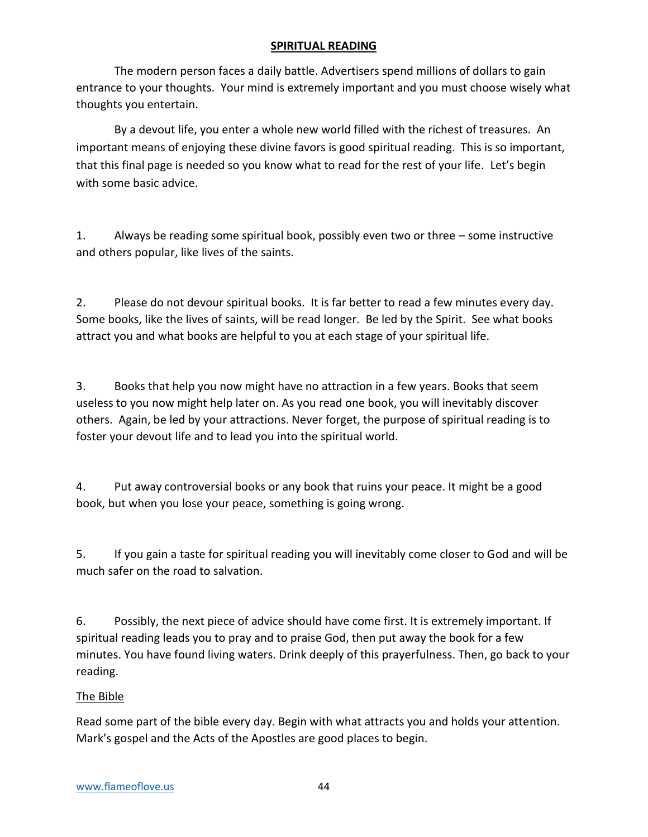### **SPIRITUAL READING**

The modern person faces a daily battle. Advertisers spend millions of dollars to gain entrance to your thoughts. Your mind is extremely important and you must choose wisely what thoughts you entertain.

By a devout life, you enter a whole new world filled with the richest of treasures. An important means of enjoying these divine favors is good spiritual reading. This is so important, that this final page is needed so you know what to read for the rest of your life. Let's begin with some basic advice.

1. Always be reading some spiritual book, possibly even two or three – some instructive and others popular, like lives of the saints.

2. Please do not devour spiritual books. It is far better to read a few minutes every day. Some books, like the lives of saints, will be read longer. Be led by the Spirit. See what books attract you and what books are helpful to you at each stage of your spiritual life.

3. Books that help you now might have no attraction in a few years. Books that seem useless to you now might help later on. As you read one book, you will inevitably discover others. Again, be led by your attractions. Never forget, the purpose of spiritual reading is to foster your devout life and to lead you into the spiritual world.

4. Put away controversial books or any book that ruins your peace. It might be a good book, but when you lose your peace, something is going wrong.

5. If you gain a taste for spiritual reading you will inevitably come closer to God and will be much safer on the road to salvation.

6. Possibly, the next piece of advice should have come first. It is extremely important. If spiritual reading leads you to pray and to praise God, then put away the book for a few minutes. You have found living waters. Drink deeply of this prayerfulness. Then, go back to your reading.

### The Bible

Read some part of the bible every day. Begin with what attracts you and holds your attention. Mark's gospel and the Acts of the Apostles are good places to begin.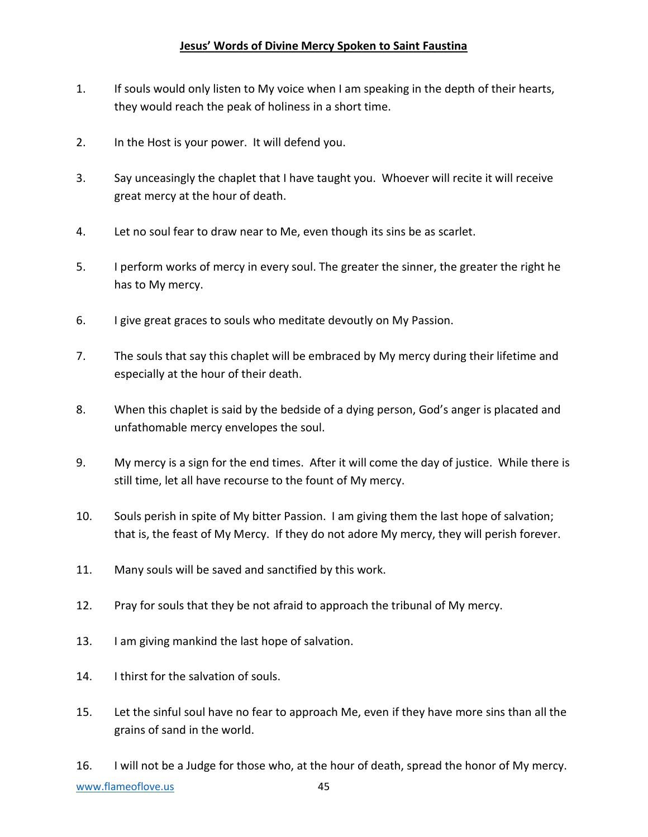### **Jesus' Words of Divine Mercy Spoken to Saint Faustina**

- 1. If souls would only listen to My voice when I am speaking in the depth of their hearts, they would reach the peak of holiness in a short time.
- 2. In the Host is your power. It will defend you.
- 3. Say unceasingly the chaplet that I have taught you. Whoever will recite it will receive great mercy at the hour of death.
- 4. Let no soul fear to draw near to Me, even though its sins be as scarlet.
- 5. I perform works of mercy in every soul. The greater the sinner, the greater the right he has to My mercy.
- 6. I give great graces to souls who meditate devoutly on My Passion.
- 7. The souls that say this chaplet will be embraced by My mercy during their lifetime and especially at the hour of their death.
- 8. When this chaplet is said by the bedside of a dying person, God's anger is placated and unfathomable mercy envelopes the soul.
- 9. My mercy is a sign for the end times. After it will come the day of justice. While there is still time, let all have recourse to the fount of My mercy.
- 10. Souls perish in spite of My bitter Passion. I am giving them the last hope of salvation; that is, the feast of My Mercy. If they do not adore My mercy, they will perish forever.
- 11. Many souls will be saved and sanctified by this work.
- 12. Pray for souls that they be not afraid to approach the tribunal of My mercy.
- 13. I am giving mankind the last hope of salvation.
- 14. I thirst for the salvation of souls.
- 15. Let the sinful soul have no fear to approach Me, even if they have more sins than all the grains of sand in the world.

[www.flameoflove.us](http://www.flameoflove.us/) 45 16. I will not be a Judge for those who, at the hour of death, spread the honor of My mercy.